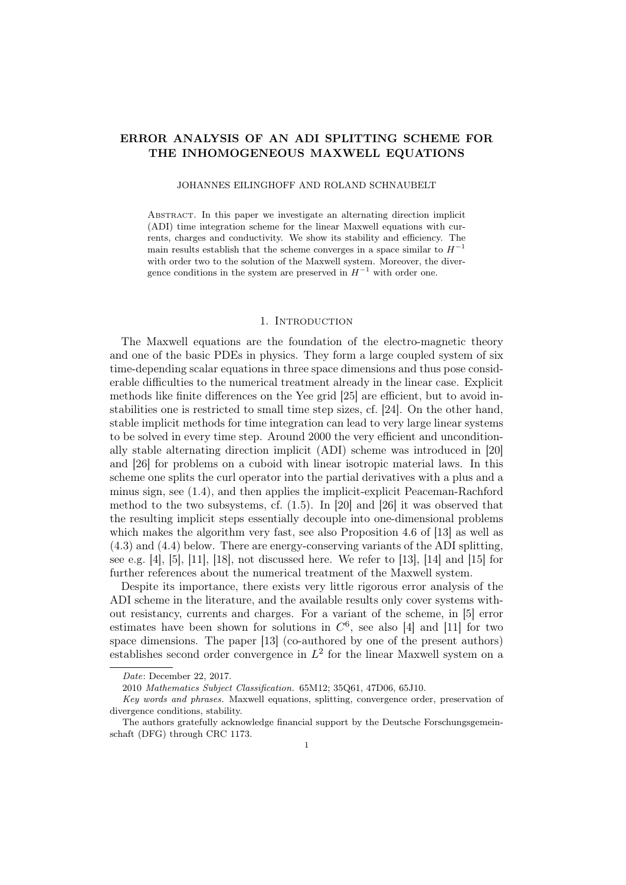# ERROR ANALYSIS OF AN ADI SPLITTING SCHEME FOR THE INHOMOGENEOUS MAXWELL EQUATIONS

JOHANNES EILINGHOFF AND ROLAND SCHNAUBELT

Abstract. In this paper we investigate an alternating direction implicit (ADI) time integration scheme for the linear Maxwell equations with currents, charges and conductivity. We show its stability and efficiency. The main results establish that the scheme converges in a space similar to  $H^{-1}$ with order two to the solution of the Maxwell system. Moreover, the divergence conditions in the system are preserved in  $H^{-1}$  with order one.

### 1. INTRODUCTION

The Maxwell equations are the foundation of the electro-magnetic theory and one of the basic PDEs in physics. They form a large coupled system of six time-depending scalar equations in three space dimensions and thus pose considerable difficulties to the numerical treatment already in the linear case. Explicit methods like finite differences on the Yee grid [25] are efficient, but to avoid instabilities one is restricted to small time step sizes, cf. [24]. On the other hand, stable implicit methods for time integration can lead to very large linear systems to be solved in every time step. Around 2000 the very efficient and unconditionally stable alternating direction implicit (ADI) scheme was introduced in [20] and [26] for problems on a cuboid with linear isotropic material laws. In this scheme one splits the curl operator into the partial derivatives with a plus and a minus sign, see (1.4), and then applies the implicit-explicit Peaceman-Rachford method to the two subsystems, cf. (1.5). In [20] and [26] it was observed that the resulting implicit steps essentially decouple into one-dimensional problems which makes the algorithm very fast, see also Proposition 4.6 of [13] as well as (4.3) and (4.4) below. There are energy-conserving variants of the ADI splitting, see e.g.  $[4]$ ,  $[5]$ ,  $[11]$ ,  $[18]$ , not discussed here. We refer to  $[13]$ ,  $[14]$  and  $[15]$  for further references about the numerical treatment of the Maxwell system.

Despite its importance, there exists very little rigorous error analysis of the ADI scheme in the literature, and the available results only cover systems without resistancy, currents and charges. For a variant of the scheme, in [5] error estimates have been shown for solutions in  $C^6$ , see also [4] and [11] for two space dimensions. The paper [13] (co-authored by one of the present authors) establishes second order convergence in  $L^2$  for the linear Maxwell system on a

Date: December 22, 2017.

<sup>2010</sup> Mathematics Subject Classification. 65M12; 35Q61, 47D06, 65J10.

Key words and phrases. Maxwell equations, splitting, convergence order, preservation of divergence conditions, stability.

The authors gratefully acknowledge financial support by the Deutsche Forschungsgemeinschaft (DFG) through CRC 1173.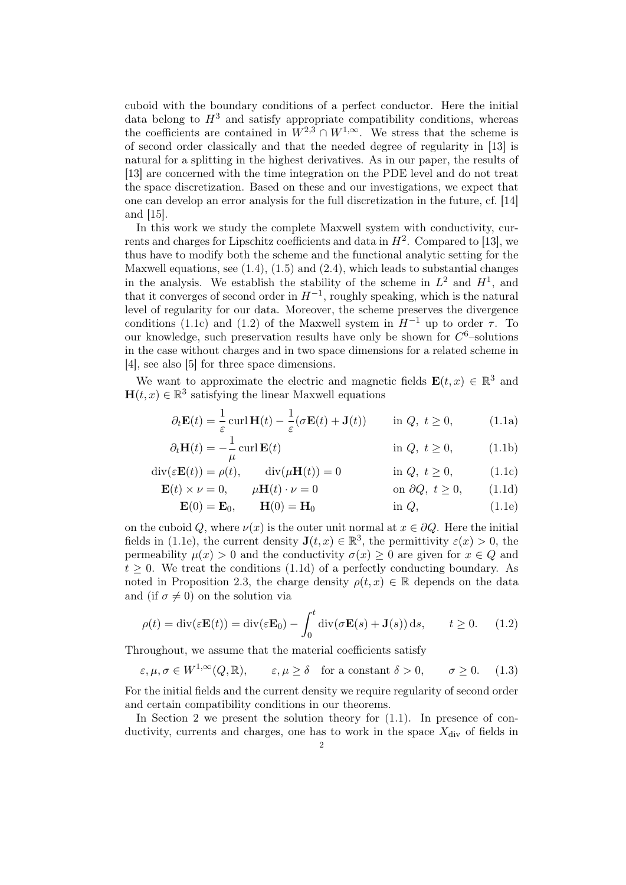cuboid with the boundary conditions of a perfect conductor. Here the initial data belong to  $H^3$  and satisfy appropriate compatibility conditions, whereas the coefficients are contained in  $W^{2,3} \cap W^{1,\infty}$ . We stress that the scheme is of second order classically and that the needed degree of regularity in [13] is natural for a splitting in the highest derivatives. As in our paper, the results of [13] are concerned with the time integration on the PDE level and do not treat the space discretization. Based on these and our investigations, we expect that one can develop an error analysis for the full discretization in the future, cf. [14] and [15].

In this work we study the complete Maxwell system with conductivity, currents and charges for Lipschitz coefficients and data in  $H^2$ . Compared to [13], we thus have to modify both the scheme and the functional analytic setting for the Maxwell equations, see  $(1.4)$ ,  $(1.5)$  and  $(2.4)$ , which leads to substantial changes in the analysis. We establish the stability of the scheme in  $L^2$  and  $H^1$ , and that it converges of second order in  $H^{-1}$ , roughly speaking, which is the natural level of regularity for our data. Moreover, the scheme preserves the divergence conditions (1.1c) and (1.2) of the Maxwell system in  $H^{-1}$  up to order  $\tau$ . To our knowledge, such preservation results have only be shown for  $C^6$ -solutions in the case without charges and in two space dimensions for a related scheme in [4], see also [5] for three space dimensions.

We want to approximate the electric and magnetic fields  $\mathbf{E}(t,x) \in \mathbb{R}^3$  and  $\mathbf{H}(t,x) \in \mathbb{R}^3$  satisfying the linear Maxwell equations

$$
\partial_t \mathbf{E}(t) = \frac{1}{\varepsilon} \operatorname{curl} \mathbf{H}(t) - \frac{1}{\varepsilon} (\sigma \mathbf{E}(t) + \mathbf{J}(t)) \quad \text{in } Q, \ t \ge 0,
$$
 (1.1a)

$$
\partial_t \mathbf{H}(t) = -\frac{1}{\mu} \operatorname{curl} \mathbf{E}(t) \qquad \text{in } Q, \ t \ge 0,
$$
 (1.1b)

$$
\operatorname{div}(\varepsilon \mathbf{E}(t)) = \rho(t), \qquad \operatorname{div}(\mu \mathbf{H}(t)) = 0 \qquad \text{in } Q, \ t \ge 0,
$$
 (1.1c)

$$
\mathbf{E}(t) \times \nu = 0, \qquad \mu \mathbf{H}(t) \cdot \nu = 0 \qquad \text{on } \partial Q, \ t \ge 0, \qquad (1.1d)
$$

$$
\mathbf{E}(0) = \mathbf{E}_0, \qquad \mathbf{H}(0) = \mathbf{H}_0 \qquad \text{in } Q,
$$
 (1.1e)

on the cuboid Q, where  $\nu(x)$  is the outer unit normal at  $x \in \partial Q$ . Here the initial fields in (1.1e), the current density  $\mathbf{J}(t,x) \in \mathbb{R}^3$ , the permittivity  $\varepsilon(x) > 0$ , the permeability  $\mu(x) > 0$  and the conductivity  $\sigma(x) \geq 0$  are given for  $x \in Q$  and  $t \geq 0$ . We treat the conditions (1.1d) of a perfectly conducting boundary. As noted in Proposition 2.3, the charge density  $\rho(t, x) \in \mathbb{R}$  depends on the data and (if  $\sigma \neq 0$ ) on the solution via

$$
\rho(t) = \text{div}(\varepsilon \mathbf{E}(t)) = \text{div}(\varepsilon \mathbf{E}_0) - \int_0^t \text{div}(\sigma \mathbf{E}(s) + \mathbf{J}(s)) ds, \qquad t \ge 0. \tag{1.2}
$$

Throughout, we assume that the material coefficients satisfy

$$
\varepsilon, \mu, \sigma \in W^{1,\infty}(Q, \mathbb{R}), \qquad \varepsilon, \mu \ge \delta \quad \text{for a constant } \delta > 0, \qquad \sigma \ge 0.
$$
 (1.3)

For the initial fields and the current density we require regularity of second order and certain compatibility conditions in our theorems.

In Section 2 we present the solution theory for  $(1.1)$ . In presence of conductivity, currents and charges, one has to work in the space  $X_{div}$  of fields in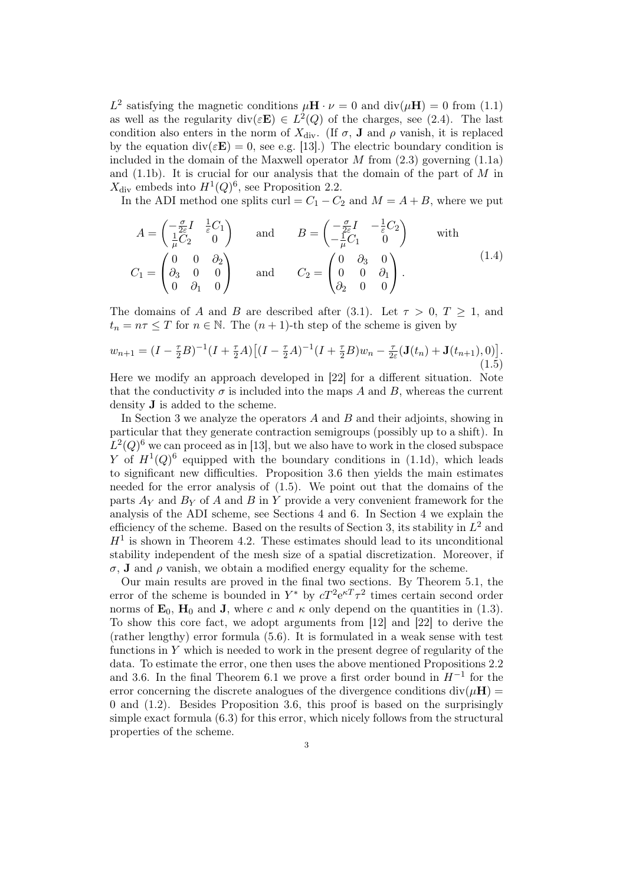$L^2$  satisfying the magnetic conditions  $\mu \mathbf{H} \cdot \nu = 0$  and  $\text{div}(\mu \mathbf{H}) = 0$  from (1.1) as well as the regularity div $(\varepsilon \mathbf{E}) \in L^2(Q)$  of the charges, see (2.4). The last condition also enters in the norm of  $X_{\text{div}}$ . (If  $\sigma$ , **J** and  $\rho$  vanish, it is replaced by the equation  $\text{div}(\varepsilon \mathbf{E}) = 0$ , see e.g. [13].) The electric boundary condition is included in the domain of the Maxwell operator  $M$  from  $(2.3)$  governing  $(1.1a)$ and  $(1.1b)$ . It is crucial for our analysis that the domain of the part of M in  $X_{\text{div}}$  embeds into  $H^1(Q)^6$ , see Proposition 2.2.

In the ADI method one splits curl =  $C_1 - C_2$  and  $M = A + B$ , where we put

$$
A = \begin{pmatrix} -\frac{\sigma}{2\varepsilon}I & \frac{1}{\varepsilon}C_1 \\ \frac{1}{\mu}C_2 & 0 \end{pmatrix} \quad \text{and} \quad B = \begin{pmatrix} -\frac{\sigma}{2\varepsilon}I & -\frac{1}{\varepsilon}C_2 \\ -\frac{1}{\mu}C_1 & 0 \end{pmatrix} \quad \text{with}
$$
  

$$
C_1 = \begin{pmatrix} 0 & 0 & \partial_2 \\ \partial_3 & 0 & 0 \\ 0 & \partial_1 & 0 \end{pmatrix} \quad \text{and} \quad C_2 = \begin{pmatrix} 0 & \partial_3 & 0 \\ 0 & 0 & \partial_1 \\ \partial_2 & 0 & 0 \end{pmatrix}.
$$
 (1.4)

The domains of A and B are described after (3.1). Let  $\tau > 0$ ,  $T \ge 1$ , and  $t_n = n\tau \leq T$  for  $n \in \mathbb{N}$ . The  $(n + 1)$ -th step of the scheme is given by

$$
w_{n+1} = (I - \frac{\tau}{2}B)^{-1}(I + \frac{\tau}{2}A)\left[(I - \frac{\tau}{2}A)^{-1}(I + \frac{\tau}{2}B)w_n - \frac{\tau}{2\varepsilon}(\mathbf{J}(t_n) + \mathbf{J}(t_{n+1}), 0)\right].
$$
\n(1.5)

Here we modify an approach developed in [22] for a different situation. Note that the conductivity  $\sigma$  is included into the maps A and B, whereas the current density J is added to the scheme.

In Section 3 we analyze the operators  $A$  and  $B$  and their adjoints, showing in particular that they generate contraction semigroups (possibly up to a shift). In  $L^2(Q)^6$  we can proceed as in [13], but we also have to work in the closed subspace Y of  $H^1(Q)^6$  equipped with the boundary conditions in (1.1d), which leads to significant new difficulties. Proposition 3.6 then yields the main estimates needed for the error analysis of (1.5). We point out that the domains of the parts  $A_V$  and  $B_V$  of A and B in Y provide a very convenient framework for the analysis of the ADI scheme, see Sections 4 and 6. In Section 4 we explain the efficiency of the scheme. Based on the results of Section 3, its stability in  $L^2$  and  $H<sup>1</sup>$  is shown in Theorem 4.2. These estimates should lead to its unconditional stability independent of the mesh size of a spatial discretization. Moreover, if  $\sigma$ , **J** and  $\rho$  vanish, we obtain a modified energy equality for the scheme.

Our main results are proved in the final two sections. By Theorem 5.1, the error of the scheme is bounded in  $Y^*$  by  $cT^2e^{\kappa T}\tau^2$  times certain second order norms of  $\mathbf{E}_0$ ,  $\mathbf{H}_0$  and **J**, where c and  $\kappa$  only depend on the quantities in (1.3). To show this core fact, we adopt arguments from [12] and [22] to derive the (rather lengthy) error formula (5.6). It is formulated in a weak sense with test functions in  $Y$  which is needed to work in the present degree of regularity of the data. To estimate the error, one then uses the above mentioned Propositions 2.2 and 3.6. In the final Theorem 6.1 we prove a first order bound in  $H^{-1}$  for the error concerning the discrete analogues of the divergence conditions  $div(\mu H)$  = 0 and (1.2). Besides Proposition 3.6, this proof is based on the surprisingly simple exact formula (6.3) for this error, which nicely follows from the structural properties of the scheme.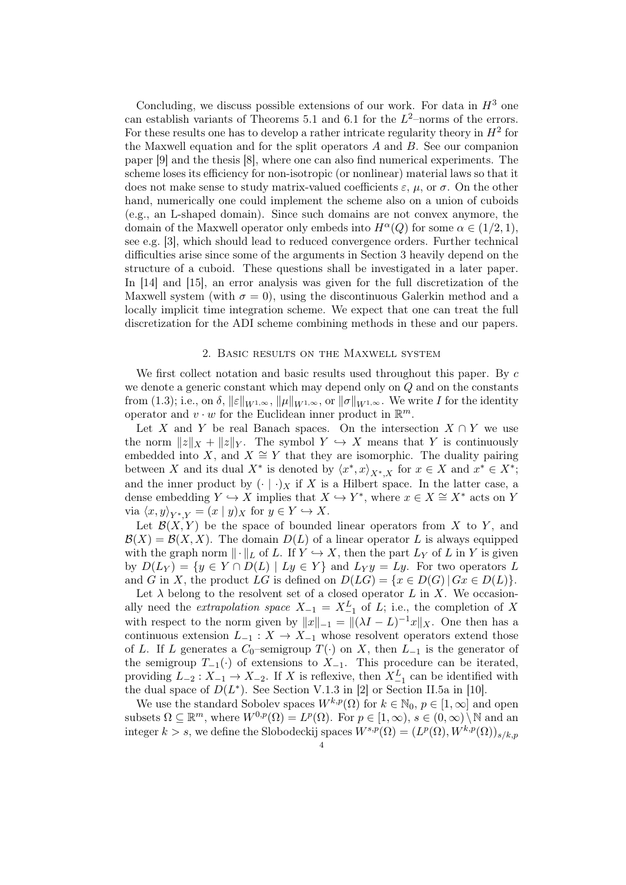Concluding, we discuss possible extensions of our work. For data in  $H^3$  one can establish variants of Theorems 5.1 and 6.1 for the  $L^2$ -norms of the errors. For these results one has to develop a rather intricate regularity theory in  $H^2$  for the Maxwell equation and for the split operators  $A$  and  $B$ . See our companion paper [9] and the thesis [8], where one can also find numerical experiments. The scheme loses its efficiency for non-isotropic (or nonlinear) material laws so that it does not make sense to study matrix-valued coefficients  $\varepsilon$ ,  $\mu$ , or  $\sigma$ . On the other hand, numerically one could implement the scheme also on a union of cuboids (e.g., an L-shaped domain). Since such domains are not convex anymore, the domain of the Maxwell operator only embeds into  $H^{\alpha}(Q)$  for some  $\alpha \in (1/2, 1)$ , see e.g. [3], which should lead to reduced convergence orders. Further technical difficulties arise since some of the arguments in Section 3 heavily depend on the structure of a cuboid. These questions shall be investigated in a later paper. In [14] and [15], an error analysis was given for the full discretization of the Maxwell system (with  $\sigma = 0$ ), using the discontinuous Galerkin method and a locally implicit time integration scheme. We expect that one can treat the full discretization for the ADI scheme combining methods in these and our papers.

### 2. Basic results on the Maxwell system

We first collect notation and basic results used throughout this paper. By c we denote a generic constant which may depend only on  $Q$  and on the constants from (1.3); i.e., on  $\delta$ ,  $||\varepsilon||_{W^{1,\infty}}$ ,  $||\mu||_{W^{1,\infty}}$ , or  $||\sigma||_{W^{1,\infty}}$ . We write I for the identity operator and  $v \cdot w$  for the Euclidean inner product in  $\mathbb{R}^m$ .

Let X and Y be real Banach spaces. On the intersection  $X \cap Y$  we use the norm  $||z||_X + ||z||_Y$ . The symbol  $Y \hookrightarrow X$  means that Y is continuously embedded into X, and  $X \cong Y$  that they are isomorphic. The duality pairing between X and its dual  $X^*$  is denoted by  $\langle x^*, x \rangle_{X^*,X}$  for  $x \in X$  and  $x^* \in X^*$ ; and the inner product by  $(\cdot | \cdot)_X$  if X is a Hilbert space. In the latter case, a dense embedding  $Y \hookrightarrow X$  implies that  $X \hookrightarrow Y^*$ , where  $x \in X \cong X^*$  acts on Y via  $\langle x, y \rangle_{Y^*|Y} = (x | y)_X$  for  $y \in Y \hookrightarrow X$ .

Let  $\mathcal{B}(X, Y)$  be the space of bounded linear operators from X to Y, and  $\mathcal{B}(X) = \mathcal{B}(X, X)$ . The domain  $D(L)$  of a linear operator L is always equipped with the graph norm  $\|\cdot\|_L$  of L. If  $Y \hookrightarrow X$ , then the part  $L_Y$  of L in Y is given by  $D(L_Y) = \{y \in Y \cap D(L) \mid Ly \in Y\}$  and  $L_Y y = Ly$ . For two operators L and G in X, the product LG is defined on  $D(LG) = \{x \in D(G) | Gx \in D(L)\}.$ 

Let  $\lambda$  belong to the resolvent set of a closed operator L in X. We occasionally need the *extrapolation space*  $X_{-1} = X_{-1}^L$  of L; i.e., the completion of X with respect to the norm given by  $||x||_{-1} = ||(\lambda I - L)^{-1}x||_X$ . One then has a continuous extension  $L_{-1}: X \to X_{-1}$  whose resolvent operators extend those of L. If L generates a  $C_0$ –semigroup  $T(\cdot)$  on X, then  $L_{-1}$  is the generator of the semigroup  $T_{-1}(\cdot)$  of extensions to  $X_{-1}$ . This procedure can be iterated, providing  $L_{-2}: X_{-1} \to X_{-2}$ . If X is reflexive, then  $X_{-1}^L$  can be identified with the dual space of  $D(L^*)$ . See Section V.1.3 in [2] or Section II.5a in [10].

We use the standard Sobolev spaces  $W^{k,p}(\Omega)$  for  $k \in \mathbb{N}_0$ ,  $p \in [1,\infty]$  and open subsets  $\Omega \subseteq \mathbb{R}^m$ , where  $W^{0,p}(\Omega) = L^p(\Omega)$ . For  $p \in [1,\infty)$ ,  $s \in (0,\infty) \setminus \mathbb{N}$  and an integer  $k > s$ , we define the Slobodeckij spaces  $W^{s,p}(\Omega) = (L^p(\Omega), W^{k,p}(\Omega))_{s/k,p}$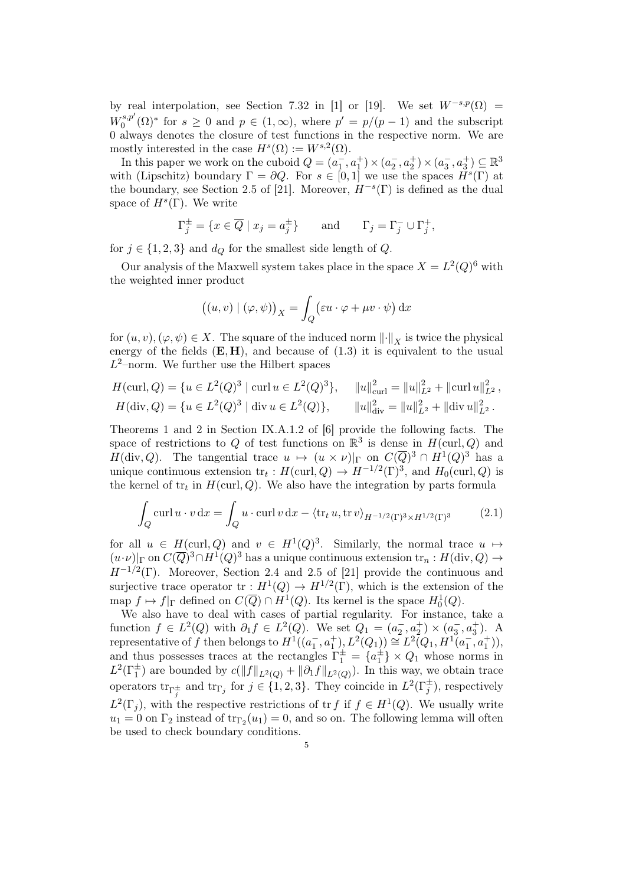by real interpolation, see Section 7.32 in [1] or [19]. We set  $W^{-s,p}(\Omega) =$  $W_0^{s,p'}$  $0<sup>s,p'</sup>(\Omega)<sup>*</sup>$  for  $s \ge 0$  and  $p \in (1,\infty)$ , where  $p' = p/(p-1)$  and the subscript 0 always denotes the closure of test functions in the respective norm. We are mostly interested in the case  $H^s(\Omega) := W^{s,2}(\Omega)$ .

In this paper we work on the cuboid  $Q = (a_1^-, a_1^+) \times (a_2^-, a_2^+) \times (a_3^-, a_3^+) \subseteq \mathbb{R}^3$ with (Lipschitz) boundary  $\Gamma = \partial Q$ . For  $s \in [0,1]$  we use the spaces  $\check{H}^s(\Gamma)$  at the boundary, see Section 2.5 of [21]. Moreover,  $H^{-s}(\Gamma)$  is defined as the dual space of  $H^s(\Gamma)$ . We write

$$
\Gamma_j^{\pm} = \{ x \in \overline{Q} \mid x_j = a_j^{\pm} \} \quad \text{and} \quad \Gamma_j = \Gamma_j^- \cup \Gamma_j^+,
$$

for  $j \in \{1, 2, 3\}$  and  $d_{Q}$  for the smallest side length of Q.

Our analysis of the Maxwell system takes place in the space  $X = L^2(Q)^6$  with the weighted inner product

$$
((u, v) | (\varphi, \psi))_X = \int_Q (\varepsilon u \cdot \varphi + \mu v \cdot \psi) \, dx
$$

for  $(u, v), (\varphi, \psi) \in X$ . The square of the induced norm  $\lVert \cdot \rVert_X$  is twice the physical energy of the fields  $(E, H)$ , and because of  $(1.3)$  it is equivalent to the usual  $L^2$ -norm. We further use the Hilbert spaces

$$
H(\text{curl}, Q) = \{u \in L^{2}(Q)^{3} \mid \text{curl } u \in L^{2}(Q)^{3}\}, \quad \|u\|_{\text{curl}}^{2} = \|u\|_{L^{2}}^{2} + \|\text{curl } u\|_{L^{2}}^{2},
$$

$$
H(\text{div}, Q) = \{u \in L^{2}(Q)^{3} \mid \text{div } u \in L^{2}(Q)\}, \quad \|u\|_{\text{div}}^{2} = \|u\|_{L^{2}}^{2} + \|\text{div } u\|_{L^{2}}^{2}.
$$

Theorems 1 and 2 in Section IX.A.1.2 of [6] provide the following facts. The space of restrictions to Q of test functions on  $\mathbb{R}^3$  is dense in  $H(\text{curl}, Q)$  and  $H(\text{div}, Q)$ . The tangential trace  $u \mapsto (u \times \nu)|_{\Gamma}$  on  $C(\overline{Q})^3 \cap H^1(Q)^3$  has a unique continuous extension  $\text{tr}_t: H(\text{curl}, Q) \to H^{-1/2}(\Gamma)^3$ , and  $H_0(\text{curl}, Q)$  is the kernel of  $tr_t$  in  $H(\text{curl}, Q)$ . We also have the integration by parts formula

$$
\int_{Q} \operatorname{curl} u \cdot v \, \mathrm{d}x = \int_{Q} u \cdot \operatorname{curl} v \, \mathrm{d}x - \langle \operatorname{tr}_{t} u, \operatorname{tr} v \rangle_{H^{-1/2}(\Gamma)^{3} \times H^{1/2}(\Gamma)^{3}} \tag{2.1}
$$

for all  $u \in H(\text{curl}, Q)$  and  $v \in H^1(Q)^3$ . Similarly, the normal trace  $u \mapsto$  $(u \cdot \nu)|_{\Gamma}$  on  $C(\overline{Q})^3 \cap H^1(Q)^3$  has a unique continuous extension  $\text{tr}_n : H(\text{div}, Q) \to$  $H^{-1/2}(\Gamma)$ . Moreover, Section 2.4 and 2.5 of [21] provide the continuous and surjective trace operator  $tr: H^1(Q) \to H^{1/2}(\Gamma)$ , which is the extension of the map  $f \mapsto f|_{\Gamma}$  defined on  $C(\overline{Q}) \cap H^1(Q)$ . Its kernel is the space  $H_0^1(Q)$ .

We also have to deal with cases of partial regularity. For instance, take a function  $f \in L^2(Q)$  with  $\partial_1 f \in L^2(Q)$ . We set  $Q_1 = (a_2^-, a_2^+) \times (a_3^-, a_3^+)$ . A representative of f then belongs to  $H^1((a_1^-, a_1^+), L^2(Q_1)) \cong L^2(Q_1, H^1(a_1^-, a_1^+)),$ and thus possesses traces at the rectangles  $\Gamma_1^{\pm} = \{a_1^{\pm}\} \times Q_1$  whose norms in  $L^2(\Gamma_1^{\pm})$  are bounded by  $c(||f||_{L^2(Q)} + ||\partial_1 f||_{L^2(Q)})$ . In this way, we obtain trace operators  $\text{tr}_{\Gamma_j^{\pm}}$  and  $\text{tr}_{\Gamma_j}$  for  $j \in \{1, 2, 3\}$ . They coincide in  $L^2(\Gamma_j^{\pm})$ , respectively  $L^2(\Gamma_j)$ , with the respective restrictions of tr f if  $f \in H^1(Q)$ . We usually write  $u_1 = 0$  on  $\Gamma_2$  instead of  $\text{tr}_{\Gamma_2}(u_1) = 0$ , and so on. The following lemma will often be used to check boundary conditions.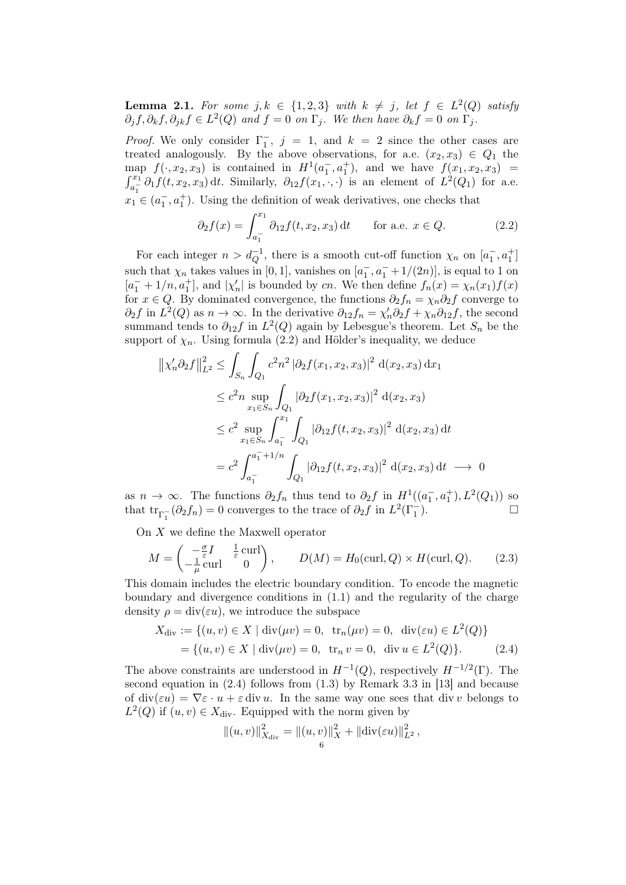**Lemma 2.1.** For some  $j, k \in \{1, 2, 3\}$  with  $k \neq j$ , let  $f \in L^2(Q)$  satisfy  $\partial_j f, \partial_k f, \partial_{jk} f \in L^2(Q)$  and  $f = 0$  on  $\Gamma_j$ . We then have  $\partial_k f = 0$  on  $\Gamma_j$ .

*Proof.* We only consider  $\Gamma_1^-$ ,  $j = 1$ , and  $k = 2$  since the other cases are treated analogously. By the above observations, for a.e.  $(x_2, x_3) \in Q_1$  the map  $f(\cdot, x_2, x_3)$  is contained in  $H^1(a_1^-, a_1^+)$ , and we have  $f(x_1, x_2, x_3)$  =  $\int_{a_1^-}^{x_1} \partial_1 f(t, x_2, x_3) dt$ . Similarly,  $\partial_{12} f(x_1, \cdot, \cdot)$  is an element of  $L^2(Q_1)$  for a.e.  $x_1 \in (a_1^-, a_1^+)$ . Using the definition of weak derivatives, one checks that

$$
\partial_2 f(x) = \int_{a_1^-}^{x_1} \partial_{12} f(t, x_2, x_3) dt \quad \text{for a.e. } x \in Q.
$$
 (2.2)

For each integer  $n > d_Q^{-1}$ , there is a smooth cut-off function  $\chi_n$  on  $[a_1^-, a_1^+]$ such that  $\chi_n$  takes values in [0, 1], vanishes on  $[a_1, a_1^- + 1/(2n)]$ , is equal to 1 on  $[a_1^- + 1/n, a_1^+]$ , and  $|\chi'_n|$  is bounded by cn. We then define  $f_n(x) = \chi_n(x_1)f(x)$ for  $x \in Q$ . By dominated convergence, the functions  $\partial_2 f_n = \chi_n \partial_2 f$  converge to  $\partial_2 f$  in  $L^2(Q)$  as  $n \to \infty$ . In the derivative  $\partial_{12} f_n = \chi'_n \partial_2 f + \chi_n \partial_{12} f$ , the second summand tends to  $\partial_{12} f$  in  $L^2(Q)$  again by Lebesgue's theorem. Let  $S_n$  be the support of  $\chi_n$ . Using formula (2.2) and Hölder's inequality, we deduce

$$
\begin{aligned} \left\| \chi_n' \partial_2 f \right\|_{L^2}^2 &\leq \int_{S_n} \int_{Q_1} c^2 n^2 \left| \partial_2 f(x_1, x_2, x_3) \right|^2 \, \mathrm{d}(x_2, x_3) \, \mathrm{d}x_1 \\ &\leq c^2 n \sup_{x_1 \in S_n} \int_{Q_1} \left| \partial_2 f(x_1, x_2, x_3) \right|^2 \, \mathrm{d}(x_2, x_3) \\ &\leq c^2 \sup_{x_1 \in S_n} \int_{a_1^-}^{x_1} \int_{Q_1} \left| \partial_{12} f(t, x_2, x_3) \right|^2 \, \mathrm{d}(x_2, x_3) \, \mathrm{d}t \\ &= c^2 \int_{a_1^-}^{a_1^- + 1/n} \int_{Q_1} \left| \partial_{12} f(t, x_2, x_3) \right|^2 \, \mathrm{d}(x_2, x_3) \, \mathrm{d}t \longrightarrow 0 \end{aligned}
$$

as  $n \to \infty$ . The functions  $\partial_2 f_n$  thus tend to  $\partial_2 f$  in  $H^1((a_1^-, a_1^+), L^2(Q_1))$  so that  $\text{tr}_{\Gamma_1^{-}}(\partial_2 f_n) = 0$  converges to the trace of  $\partial_2 f$  in  $L^2(\Gamma_1^{-})$ ).

On X we define the Maxwell operator

$$
M = \begin{pmatrix} -\frac{\sigma}{\varepsilon}I & \frac{1}{\varepsilon}\operatorname{curl} \\ -\frac{1}{\mu}\operatorname{curl} & 0 \end{pmatrix}, \qquad D(M) = H_0(\operatorname{curl}, Q) \times H(\operatorname{curl}, Q). \tag{2.3}
$$

This domain includes the electric boundary condition. To encode the magnetic boundary and divergence conditions in (1.1) and the regularity of the charge density  $\rho = \text{div}(\varepsilon u)$ , we introduce the subspace

$$
X_{\text{div}} := \{(u, v) \in X \mid \text{div}(\mu v) = 0, \text{ tr}_n(\mu v) = 0, \text{ div}(\varepsilon u) \in L^2(Q)\}
$$
  
= \{(u, v) \in X \mid \text{div}(\mu v) = 0, \text{ tr}\_n v = 0, \text{ div } u \in L^2(Q)\}. (2.4)

The above constraints are understood in  $H^{-1}(Q)$ , respectively  $H^{-1/2}(\Gamma)$ . The second equation in (2.4) follows from (1.3) by Remark 3.3 in [13] and because of div( $\varepsilon u$ ) =  $\nabla \varepsilon \cdot u + \varepsilon$  div u. In the same way one sees that div v belongs to  $L^2(Q)$  if  $(u, v) \in X_{\text{div}}$ . Equipped with the norm given by

$$
||(u, v)||_{X_{\text{div}}}^2 = ||(u, v)||_X^2 + ||\text{div}(\varepsilon u)||_{L^2}^2,
$$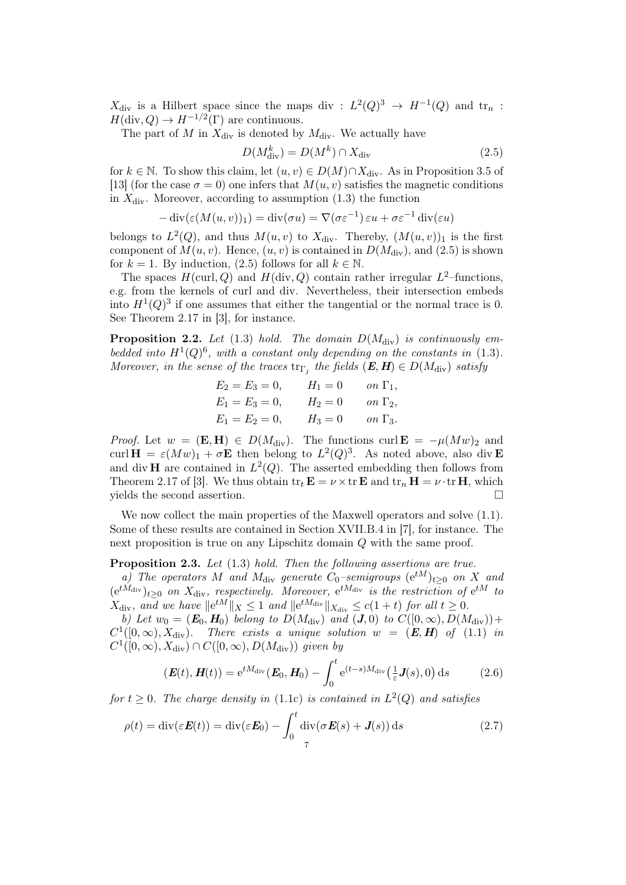$X_{\text{div}}$  is a Hilbert space since the maps div :  $L^2(Q)^3 \rightarrow H^{-1}(Q)$  and  $\text{tr}_n$ :  $H(\text{div}, Q) \to H^{-1/2}(\Gamma)$  are continuous.

The part of M in  $X_{\text{div}}$  is denoted by  $M_{\text{div}}$ . We actually have

$$
D(M_{\rm div}^k) = D(M^k) \cap X_{\rm div}
$$
\n(2.5)

for  $k \in \mathbb{N}$ . To show this claim, let  $(u, v) \in D(M) \cap X_{\text{div}}$ . As in Proposition 3.5 of [13] (for the case  $\sigma = 0$ ) one infers that  $M(u, v)$  satisfies the magnetic conditions in  $X_{\text{div}}$ . Moreover, according to assumption (1.3) the function

 $-\operatorname{div}(\varepsilon(M(u,v))_1) = \operatorname{div}(\sigma u) = \nabla(\sigma \varepsilon^{-1}) \varepsilon u + \sigma \varepsilon^{-1} \operatorname{div}(\varepsilon u)$ 

belongs to  $L^2(Q)$ , and thus  $M(u, v)$  to  $X_{\text{div}}$ . Thereby,  $(M(u, v))_1$  is the first component of  $M(u, v)$ . Hence,  $(u, v)$  is contained in  $D(M_{\text{div}})$ , and (2.5) is shown for  $k = 1$ . By induction, (2.5) follows for all  $k \in \mathbb{N}$ .

The spaces  $H(\text{curl}, Q)$  and  $H(\text{div}, Q)$  contain rather irregular  $L^2$ -functions, e.g. from the kernels of curl and div. Nevertheless, their intersection embeds into  $H^1(Q)^3$  if one assumes that either the tangential or the normal trace is 0. See Theorem 2.17 in [3], for instance.

**Proposition 2.2.** Let (1.3) hold. The domain  $D(M_{\text{div}})$  is continuously embedded into  $H^1(Q)^6$ , with a constant only depending on the constants in (1.3). Moreover, in the sense of the traces  $\text{tr}_{\Gamma_j}$  the fields  $(\boldsymbol{E}, \boldsymbol{H}) \in D(M_{\text{div}})$  satisfy

$$
E_2 = E_3 = 0, \t H_1 = 0 \t on \t \Gamma_1,\nE_1 = E_3 = 0, \t H_2 = 0 \t on \t \Gamma_2,\nE_1 = E_2 = 0, \t H_3 = 0 \t on \t \Gamma_3.
$$

*Proof.* Let  $w = (\mathbf{E}, \mathbf{H}) \in D(M_{\text{div}})$ . The functions curl  $\mathbf{E} = -\mu (Mw)_2$  and curl  $\mathbf{H} = \varepsilon (Mw)_1 + \sigma \mathbf{E}$  then belong to  $L^2(Q)^3$ . As noted above, also div **E** and div H are contained in  $L^2(Q)$ . The asserted embedding then follows from Theorem 2.17 of [3]. We thus obtain  $\text{tr}_t \mathbf{E} = \nu \times \text{tr} \mathbf{E}$  and  $\text{tr}_n \mathbf{H} = \nu \cdot \text{tr} \mathbf{H}$ , which yields the second assertion.

We now collect the main properties of the Maxwell operators and solve  $(1.1)$ . Some of these results are contained in Section XVII.B.4 in [7], for instance. The next proposition is true on any Lipschitz domain Q with the same proof.

Proposition 2.3. Let  $(1.3)$  hold. Then the following assertions are true.

a) The operators M and  $M_{\text{div}}$  generate  $C_0$ –semigroups  $(e^{tM})_{t>0}$  on X and  $(e^{tM_{\text{div}}})_{t\geq 0}$  on  $X_{\text{div}}$ , respectively. Moreover,  $e^{tM_{\text{div}}}$  is the restriction of  $e^{tM}$  to  $X_{\text{div}}$ , and we have  $||e^{tM}||_X \leq 1$  and  $||e^{tM_{\text{div}}}||_{X_{\text{div}}} \leq c(1+t)$  for all  $t \geq 0$ .

b) Let  $w_0 = (E_0, H_0)$  belong to  $D(M_{\text{div}})$  and  $(J, 0)$  to  $C([0, \infty), D(M_{\text{div}})) +$  $C^1([0,\infty), X_{\text{div}})$ . There exists a unique solution  $w = (E, H)$  of  $(1.1)$  in  $C^1([0,\infty), X_{\text{div}}) \cap C([0,\infty), D(M_{\text{div}}))$  given by

$$
(\boldsymbol{E}(t), \boldsymbol{H}(t)) = e^{tM_{\text{div}}}(\boldsymbol{E}_0, \boldsymbol{H}_0) - \int_0^t e^{(t-s)M_{\text{div}}} \left(\frac{1}{\varepsilon} \boldsymbol{J}(s), 0\right) ds \tag{2.6}
$$

for  $t \geq 0$ . The charge density in (1.1c) is contained in  $L^2(Q)$  and satisfies

$$
\rho(t) = \text{div}(\varepsilon \boldsymbol{E}(t)) = \text{div}(\varepsilon \boldsymbol{E}_0) - \int_0^t \text{div}(\sigma \boldsymbol{E}(s) + \boldsymbol{J}(s)) \, \mathrm{d}s \tag{2.7}
$$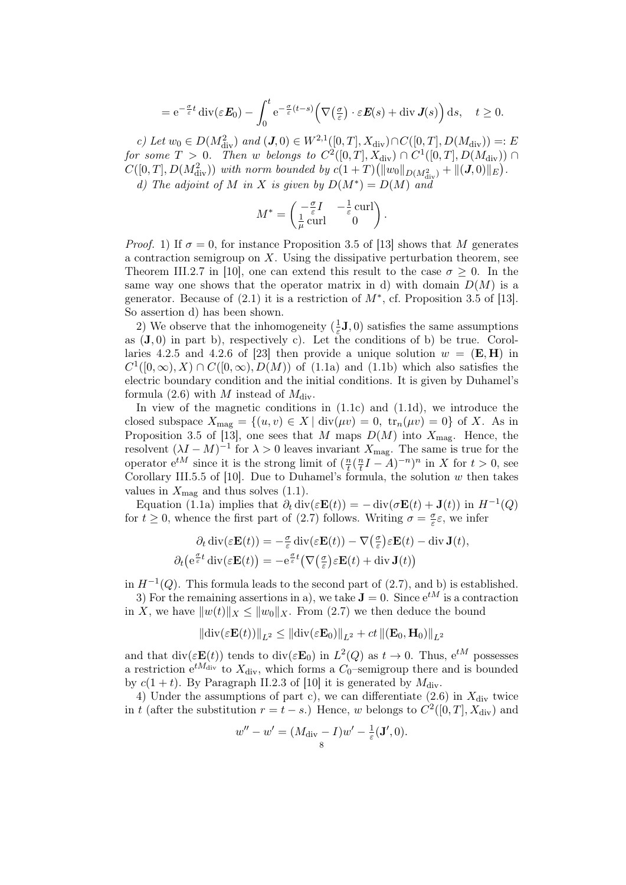$$
= e^{-\frac{\sigma}{\varepsilon}t} \operatorname{div}(\varepsilon E_0) - \int_0^t e^{-\frac{\sigma}{\varepsilon}(t-s)} \Big(\nabla \big(\frac{\sigma}{\varepsilon}\big) \cdot \varepsilon E(s) + \operatorname{div} J(s)\Big) ds, \quad t \ge 0.
$$

c) Let  $w_0 \in D(M_{\text{div}}^2)$  and  $(\mathbf{J},0) \in W^{2,1}([0,T],X_{\text{div}}) \cap C([0,T],D(M_{\text{div}})) =: E$ for some  $T > 0$ . Then w belongs to  $C^2([0,T], X_{\text{div}}) \cap C^1([0,T], D(M_{\text{div}})) \cap$  $C([0,T], D(M_{\text{div}}^2))$  with norm bounded by  $c(1+T)(||w_0||_{D(M_{\text{div}}^2)} + ||(J,0)||_E)$ . d) The adjoint of M in X is given by  $D(M^*) = D(M)$  and

$$
M^* = \begin{pmatrix} -\frac{\sigma}{\varepsilon}I & -\frac{1}{\varepsilon}\operatorname{curl} \\ \frac{1}{\mu}\operatorname{curl} & 0 \end{pmatrix}.
$$

*Proof.* 1) If  $\sigma = 0$ , for instance Proposition 3.5 of [13] shows that M generates a contraction semigroup on  $X$ . Using the dissipative perturbation theorem, see Theorem III.2.7 in [10], one can extend this result to the case  $\sigma > 0$ . In the same way one shows that the operator matrix in d) with domain  $D(M)$  is a generator. Because of  $(2.1)$  it is a restriction of  $M^*$ , cf. Proposition 3.5 of [13]. So assertion d) has been shown.

2) We observe that the inhomogeneity  $(\frac{1}{\varepsilon})$  $(\frac{1}{\varepsilon}, \mathbf{J}, 0)$  satisfies the same assumptions as  $(\mathbf{J}, 0)$  in part b), respectively c). Let the conditions of b) be true. Corollaries 4.2.5 and 4.2.6 of [23] then provide a unique solution  $w = (E, H)$  in  $C^1([0,\infty), X) \cap C([0,\infty), D(M))$  of (1.1a) and (1.1b) which also satisfies the electric boundary condition and the initial conditions. It is given by Duhamel's formula (2.6) with M instead of  $M_{\rm div}$ .

In view of the magnetic conditions in  $(1.1c)$  and  $(1.1d)$ , we introduce the closed subspace  $X_{\text{mag}} = \{(u, v) \in X \mid \text{div}(\mu v) = 0, \text{ tr}_n(\mu v) = 0\}$  of X. As in Proposition 3.5 of [13], one sees that M maps  $D(M)$  into  $X_{\text{mag}}$ . Hence, the resolvent  $(\lambda I - M)^{-1}$  for  $\lambda > 0$  leaves invariant  $X_{\text{mag}}$ . The same is true for the operator  $e^{tM}$  since it is the strong limit of  $(\frac{n}{t})$  $\frac{n}{t}$  $\left(\frac{n}{t}\right)$  $\frac{n}{t}I-A)^{-n}$ <sup>n</sup> in X for  $t>0$ , see Corollary III.5.5 of [10]. Due to Duhamel's formula, the solution  $w$  then takes values in  $X_{\text{mag}}$  and thus solves (1.1).

Equation (1.1a) implies that  $\partial_t \text{div}(\varepsilon \mathbf{E}(t)) = -\text{div}(\sigma \mathbf{E}(t) + \mathbf{J}(t))$  in  $H^{-1}(Q)$ for  $t \geq 0$ , whence the first part of (2.7) follows. Writing  $\sigma = \frac{\sigma}{\epsilon}$  $\frac{\sigma}{\varepsilon} \varepsilon$ , we infer

$$
\partial_t \operatorname{div}(\varepsilon \mathbf{E}(t)) = -\frac{\sigma}{\varepsilon} \operatorname{div}(\varepsilon \mathbf{E}(t)) - \nabla (\frac{\sigma}{\varepsilon}) \varepsilon \mathbf{E}(t) - \operatorname{div} \mathbf{J}(t),
$$
  

$$
\partial_t (e^{\frac{\sigma}{\varepsilon}t} \operatorname{div}(\varepsilon \mathbf{E}(t)) = -e^{\frac{\sigma}{\varepsilon}t} (\nabla (\frac{\sigma}{\varepsilon}) \varepsilon \mathbf{E}(t) + \operatorname{div} \mathbf{J}(t))
$$

in  $H^{-1}(Q)$ . This formula leads to the second part of  $(2.7)$ , and b) is established.

3) For the remaining assertions in a), we take  $J = 0$ . Since  $e^{tM}$  is a contraction in X, we have  $||w(t)||_X \le ||w_0||_X$ . From (2.7) we then deduce the bound

$$
\left\|\text{div}(\varepsilon \mathbf{E}(t))\right\|_{L^2} \le \left\|\text{div}(\varepsilon \mathbf{E}_0)\right\|_{L^2} + ct \left\|(\mathbf{E}_0, \mathbf{H}_0)\right\|_{L^2}
$$

and that  $\text{div}(\varepsilon \mathbf{E}(t))$  tends to  $\text{div}(\varepsilon \mathbf{E}_0)$  in  $L^2(Q)$  as  $t \to 0$ . Thus,  $e^{tM}$  possesses a restriction  $e^{tM_{\text{div}}}$  to  $X_{\text{div}}$ , which forms a  $C_0$ -semigroup there and is bounded by  $c(1 + t)$ . By Paragraph II.2.3 of [10] it is generated by  $M_{\text{div}}$ .

4) Under the assumptions of part c), we can differentiate  $(2.6)$  in  $X_{\text{div}}$  twice in t (after the substitution  $r = t - s$ .) Hence, w belongs to  $C^2([0, T], X_{\text{div}})$  and

$$
w'' - w' = (M_{\text{div}} - I)w' - \frac{1}{\varepsilon}(\mathbf{J}', 0).
$$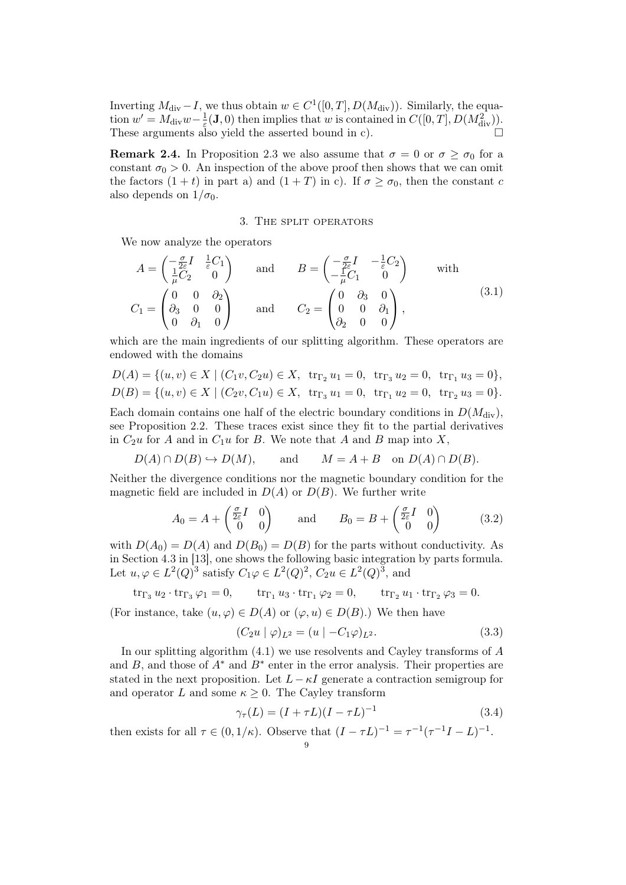Inverting  $M_{\text{div}} - I$ , we thus obtain  $w \in C^1([0, T], D(M_{\text{div}}))$ . Similarly, the equation  $w' = M_{\text{div}}w - \frac{1}{\varepsilon}$  $\frac{1}{\varepsilon}(\mathbf{J},0)$  then implies that w is contained in  $C([0,T],D(M_{\text{div}}^2)).$ These arguments also yield the asserted bound in c).

**Remark 2.4.** In Proposition 2.3 we also assume that  $\sigma = 0$  or  $\sigma \ge \sigma_0$  for a constant  $\sigma_0 > 0$ . An inspection of the above proof then shows that we can omit the factors  $(1 + t)$  in part a) and  $(1 + T)$  in c). If  $\sigma \ge \sigma_0$ , then the constant c also depends on  $1/\sigma_0$ .

### 3. The split operators

We now analyze the operators

$$
A = \begin{pmatrix} -\frac{\sigma}{2\varepsilon}I & \frac{1}{\varepsilon}C_1 \\ \frac{1}{\mu}C_2 & 0 \end{pmatrix} \quad \text{and} \quad B = \begin{pmatrix} -\frac{\sigma}{2\varepsilon}I & -\frac{1}{\varepsilon}C_2 \\ -\frac{1}{\mu}C_1 & 0 \end{pmatrix} \quad \text{with}
$$
  

$$
C_1 = \begin{pmatrix} 0 & 0 & \partial_2 \\ \partial_3 & 0 & 0 \\ 0 & \partial_1 & 0 \end{pmatrix} \quad \text{and} \quad C_2 = \begin{pmatrix} 0 & \partial_3 & 0 \\ 0 & 0 & \partial_1 \\ \partial_2 & 0 & 0 \end{pmatrix}, \tag{3.1}
$$

which are the main ingredients of our splitting algorithm. These operators are endowed with the domains

$$
D(A) = \{(u, v) \in X \mid (C_1v, C_2u) \in X, \text{ tr}_{\Gamma_2} u_1 = 0, \text{ tr}_{\Gamma_3} u_2 = 0, \text{ tr}_{\Gamma_1} u_3 = 0\},
$$
  

$$
D(B) = \{(u, v) \in X \mid (C_2v, C_1u) \in X, \text{ tr}_{\Gamma_3} u_1 = 0, \text{ tr}_{\Gamma_1} u_2 = 0, \text{ tr}_{\Gamma_2} u_3 = 0\}.
$$

Each domain contains one half of the electric boundary conditions in  $D(M<sub>div</sub>)$ , see Proposition 2.2. These traces exist since they fit to the partial derivatives in  $C_2u$  for A and in  $C_1u$  for B. We note that A and B map into X,

$$
D(A) \cap D(B) \hookrightarrow D(M)
$$
, and  $M = A + B$  on  $D(A) \cap D(B)$ .

Neither the divergence conditions nor the magnetic boundary condition for the magnetic field are included in  $D(A)$  or  $D(B)$ . We further write

$$
A_0 = A + \begin{pmatrix} \frac{\sigma}{2\varepsilon} I & 0\\ 0 & 0 \end{pmatrix} \quad \text{and} \quad B_0 = B + \begin{pmatrix} \frac{\sigma}{2\varepsilon} I & 0\\ 0 & 0 \end{pmatrix} \tag{3.2}
$$

with  $D(A_0) = D(A)$  and  $D(B_0) = D(B)$  for the parts without conductivity. As in Section 4.3 in [13], one shows the following basic integration by parts formula. Let  $u, \varphi \in L^2(Q)^3$  satisfy  $C_1\varphi \in L^2(Q)^2$ ,  $C_2u \in L^2(Q)^3$ , and

$$
\operatorname{tr}_{\Gamma_3} u_2 \cdot \operatorname{tr}_{\Gamma_3} \varphi_1 = 0, \qquad \operatorname{tr}_{\Gamma_1} u_3 \cdot \operatorname{tr}_{\Gamma_1} \varphi_2 = 0, \qquad \operatorname{tr}_{\Gamma_2} u_1 \cdot \operatorname{tr}_{\Gamma_2} \varphi_3 = 0.
$$

(For instance, take  $(u, \varphi) \in D(A)$  or  $(\varphi, u) \in D(B)$ .) We then have

$$
(C_2u \mid \varphi)_{L^2} = (u \mid -C_1\varphi)_{L^2}.
$$
\n(3.3)

In our splitting algorithm  $(4.1)$  we use resolvents and Cayley transforms of A and B, and those of  $A^*$  and  $B^*$  enter in the error analysis. Their properties are stated in the next proposition. Let  $L - \kappa I$  generate a contraction semigroup for and operator L and some  $\kappa \geq 0$ . The Cayley transform

$$
\gamma_{\tau}(L) = (I + \tau L)(I - \tau L)^{-1}
$$
\n(3.4)

then exists for all  $\tau \in (0, 1/\kappa)$ . Observe that  $(I - \tau L)^{-1} = \tau^{-1}(\tau^{-1}I - L)^{-1}$ .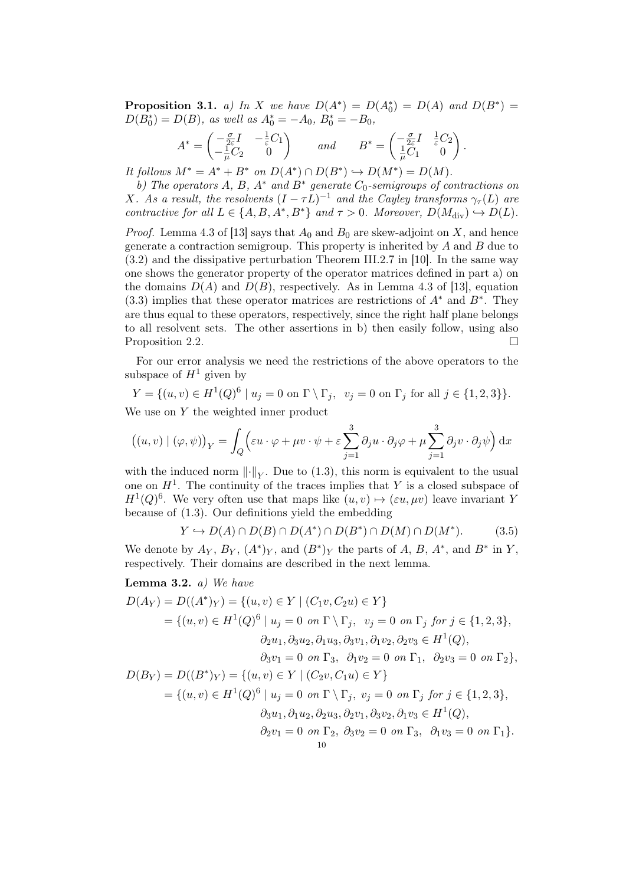**Proposition 3.1.** a) In X we have  $D(A^*) = D(A_0^*) = D(A)$  and  $D(B^*) =$  $D(B_0^*) = D(B)$ , as well as  $A_0^* = -A_0$ ,  $B_0^* = -B_0$ ,

$$
A^* = \begin{pmatrix} -\frac{\sigma}{2\varepsilon}I & -\frac{1}{\varepsilon}C_1 \\ -\frac{1}{\mu}C_2 & 0 \end{pmatrix} \quad \text{and} \quad B^* = \begin{pmatrix} -\frac{\sigma}{2\varepsilon}I & \frac{1}{\varepsilon}C_2 \\ \frac{1}{\mu}C_1 & 0 \end{pmatrix}.
$$

It follows  $M^* = A^* + B^*$  on  $D(A^*) \cap D(B^*) \hookrightarrow D(M^*) = D(M)$ .

b) The operators  $A, B, A^*$  and  $B^*$  generate  $C_0$ -semigroups of contractions on X. As a result, the resolvents  $(I - \tau L)^{-1}$  and the Cayley transforms  $\gamma_{\tau}(L)$  are contractive for all  $L \in \{A, B, A^*, B^*\}$  and  $\tau > 0$ . Moreover,  $D(M_{\text{div}}) \hookrightarrow D(L)$ .

*Proof.* Lemma 4.3 of [13] says that  $A_0$  and  $B_0$  are skew-adjoint on X, and hence generate a contraction semigroup. This property is inherited by  $A$  and  $B$  due to (3.2) and the dissipative perturbation Theorem III.2.7 in [10]. In the same way one shows the generator property of the operator matrices defined in part a) on the domains  $D(A)$  and  $D(B)$ , respectively. As in Lemma 4.3 of [13], equation (3.3) implies that these operator matrices are restrictions of  $A^*$  and  $B^*$ . They are thus equal to these operators, respectively, since the right half plane belongs to all resolvent sets. The other assertions in b) then easily follow, using also Proposition 2.2.

For our error analysis we need the restrictions of the above operators to the subspace of  $H^1$  given by

$$
Y = \{(u, v) \in H^{1}(Q)^{6} \mid u_{j} = 0 \text{ on } \Gamma \setminus \Gamma_{j}, \ v_{j} = 0 \text{ on } \Gamma_{j} \text{ for all } j \in \{1, 2, 3\} \}.
$$

We use on Y the weighted inner product

$$
((u, v) | (\varphi, \psi))_Y = \int_Q \left( \varepsilon u \cdot \varphi + \mu v \cdot \psi + \varepsilon \sum_{j=1}^3 \partial_j u \cdot \partial_j \varphi + \mu \sum_{j=1}^3 \partial_j v \cdot \partial_j \psi \right) dx
$$

with the induced norm  $\lVert \cdot \rVert_Y$ . Due to (1.3), this norm is equivalent to the usual one on  $H<sup>1</sup>$ . The continuity of the traces implies that Y is a closed subspace of  $H^1(Q)^6$ . We very often use that maps like  $(u, v) \mapsto (\varepsilon u, \mu v)$  leave invariant Y because of (1.3). Our definitions yield the embedding

$$
Y \hookrightarrow D(A) \cap D(B) \cap D(A^*) \cap D(B^*) \cap D(M) \cap D(M^*). \tag{3.5}
$$

We denote by  $A_Y$ ,  $B_Y$ ,  $(A^*)_Y$ , and  $(B^*)_Y$  the parts of A, B,  $A^*$ , and  $B^*$  in Y, respectively. Their domains are described in the next lemma.

## **Lemma 3.2.** *a)* We have

$$
D(A_Y) = D((A^*)_Y) = \{(u, v) \in Y \mid (C_1v, C_2u) \in Y\}
$$
  
\n
$$
= \{(u, v) \in H^1(Q)^6 \mid u_j = 0 \text{ on } \Gamma \setminus \Gamma_j, v_j = 0 \text{ on } \Gamma_j \text{ for } j \in \{1, 2, 3\},
$$
  
\n
$$
\partial_2 u_1, \partial_3 u_2, \partial_1 u_3, \partial_3 v_1, \partial_1 v_2, \partial_2 v_3 \in H^1(Q),
$$
  
\n
$$
\partial_3 v_1 = 0 \text{ on } \Gamma_3, \ \partial_1 v_2 = 0 \text{ on } \Gamma_1, \ \partial_2 v_3 = 0 \text{ on } \Gamma_2\},
$$
  
\n
$$
D(B_Y) = D((B^*)_Y) = \{(u, v) \in Y \mid (C_2v, C_1u) \in Y\}
$$
  
\n
$$
= \{(u, v) \in H^1(Q)^6 \mid u_j = 0 \text{ on } \Gamma \setminus \Gamma_j, v_j = 0 \text{ on } \Gamma_j \text{ for } j \in \{1, 2, 3\},
$$
  
\n
$$
\partial_3 u_1, \partial_1 u_2, \partial_2 u_3, \partial_2 v_1, \partial_3 v_2, \partial_1 v_3 \in H^1(Q),
$$
  
\n
$$
\partial_2 v_1 = 0 \text{ on } \Gamma_2, \ \partial_3 v_2 = 0 \text{ on } \Gamma_3, \ \partial_1 v_3 = 0 \text{ on } \Gamma_1\}.
$$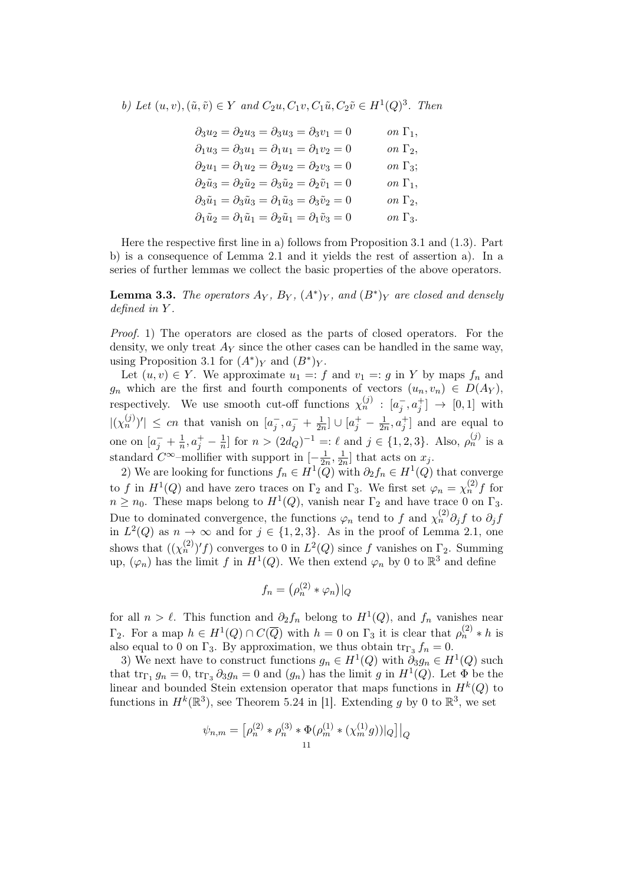b) Let  $(u, v), (\tilde{u}, \tilde{v}) \in Y$  and  $C_2u, C_1v, C_1\tilde{u}, C_2\tilde{v} \in H^1(Q)^3$ . Then

| $\partial_3 u_2 = \partial_2 u_3 = \partial_3 u_3 = \partial_3 v_1 = 0$                                 | on $\Gamma_1$ ,        |
|---------------------------------------------------------------------------------------------------------|------------------------|
| $\partial_1 u_3 = \partial_3 u_1 = \partial_1 u_1 = \partial_1 v_2 = 0$                                 | on $\Gamma_2$ ,        |
| $\partial_2 u_1 = \partial_1 u_2 = \partial_2 u_2 = \partial_2 v_3 = 0$                                 | <i>on</i> $\Gamma_3$ ; |
| $\partial_2 \tilde{u}_3 = \partial_2 \tilde{u}_2 = \partial_3 \tilde{u}_2 = \partial_2 \tilde{v}_1 = 0$ | on $\Gamma_1$ ,        |
| $\partial_3 \tilde{u}_1 = \partial_3 \tilde{u}_3 = \partial_1 \tilde{u}_3 = \partial_3 \tilde{v}_2 = 0$ | on $\Gamma_2$ ,        |
| $\partial_1 \tilde{u}_2 = \partial_1 \tilde{u}_1 = \partial_2 \tilde{u}_1 = \partial_1 \tilde{v}_3 = 0$ | on $\Gamma_3$ .        |

Here the respective first line in a) follows from Proposition 3.1 and (1.3). Part b) is a consequence of Lemma 2.1 and it yields the rest of assertion a). In a series of further lemmas we collect the basic properties of the above operators.

**Lemma 3.3.** The operators  $A_Y$ ,  $B_Y$ ,  $(A^*)_Y$ , and  $(B^*)_Y$  are closed and densely defined in Y .

Proof. 1) The operators are closed as the parts of closed operators. For the density, we only treat  $A_Y$  since the other cases can be handled in the same way, using Proposition 3.1 for  $(A^*)_Y$  and  $(B^*)_Y$ .

Let  $(u, v) \in Y$ . We approximate  $u_1 =: f$  and  $v_1 =: g$  in Y by maps  $f_n$  and  $g_n$  which are the first and fourth components of vectors  $(u_n, v_n) \in D(A_Y)$ , respectively. We use smooth cut-off functions  $\chi_n^{(j)} : [a_j^-, a_j^+] \to [0,1]$  with  $|(\chi_n^{(j)})'| \leq cn$  that vanish on  $[a_j^-, a_j^- + \frac{1}{2n}]$  $\frac{1}{2n}$ ]  $\cup$   $[a_j^+ - \frac{1}{2n}]$  $\frac{1}{2n}, a_j^+$  and are equal to one on  $[a_j^- + \frac{1}{n}]$  $\frac{1}{n}, a_j^+ - \frac{1}{n}$  $\frac{1}{n}$  for  $n > (2d_Q)^{-1} =: \ell$  and  $j \in \{1, 2, 3\}$ . Also,  $\rho_n^{(j)}$  is a standard  $C^{\infty}$ -mollifier with support in  $\left[-\frac{1}{2a}\right]$  $\frac{1}{2n}, \frac{1}{2n}$  $\frac{1}{2n}$  that acts on  $x_j$ .

2) We are looking for functions  $f_n \in H^1(Q)$  with  $\partial_2 f_n \in H^1(Q)$  that converge to f in  $H^1(Q)$  and have zero traces on  $\Gamma_2$  and  $\Gamma_3$ . We first set  $\varphi_n = \chi_n^{(2)} f$  for  $n \geq n_0$ . These maps belong to  $H^1(Q)$ , vanish near  $\Gamma_2$  and have trace 0 on  $\Gamma_3$ . Due to dominated convergence, the functions  $\varphi_n$  tend to f and  $\chi_n^{(2)} \partial_j f$  to  $\partial_j f$ in  $L^2(Q)$  as  $n \to \infty$  and for  $j \in \{1,2,3\}$ . As in the proof of Lemma 2.1, one shows that  $((\chi_n^{(2)})'f)$  converges to 0 in  $L^2(Q)$  since f vanishes on  $\Gamma_2$ . Summing up,  $(\varphi_n)$  has the limit f in  $H^1(Q)$ . We then extend  $\varphi_n$  by 0 to  $\mathbb{R}^3$  and define

$$
f_n = \left(\rho_n^{(2)} * \varphi_n\right)|_Q
$$

for all  $n > \ell$ . This function and  $\partial_2 f_n$  belong to  $H^1(Q)$ , and  $f_n$  vanishes near  $\Gamma_2$ . For a map  $h \in H^1(Q) \cap C(\overline{Q})$  with  $h = 0$  on  $\Gamma_3$  it is clear that  $\rho_n^{(2)} * h$  is also equal to 0 on  $\Gamma_3$ . By approximation, we thus obtain  $\text{tr}_{\Gamma_3} f_n = 0$ .

3) We next have to construct functions  $g_n \in H^1(Q)$  with  $\partial_3 g_n \in H^1(Q)$  such that  $\text{tr}_{\Gamma_1} g_n = 0$ ,  $\text{tr}_{\Gamma_3} \partial_3 g_n = 0$  and  $(g_n)$  has the limit g in  $H^1(Q)$ . Let  $\Phi$  be the linear and bounded Stein extension operator that maps functions in  $H^k(Q)$  to functions in  $H^k(\mathbb{R}^3)$ , see Theorem 5.24 in [1]. Extending g by 0 to  $\mathbb{R}^3$ , we set

$$
\psi_{n,m} = \left[\rho_n^{(2)} * \rho_n^{(3)} * \Phi(\rho_m^{(1)} * (\chi_m^{(1)} g))|_Q\right]|_Q
$$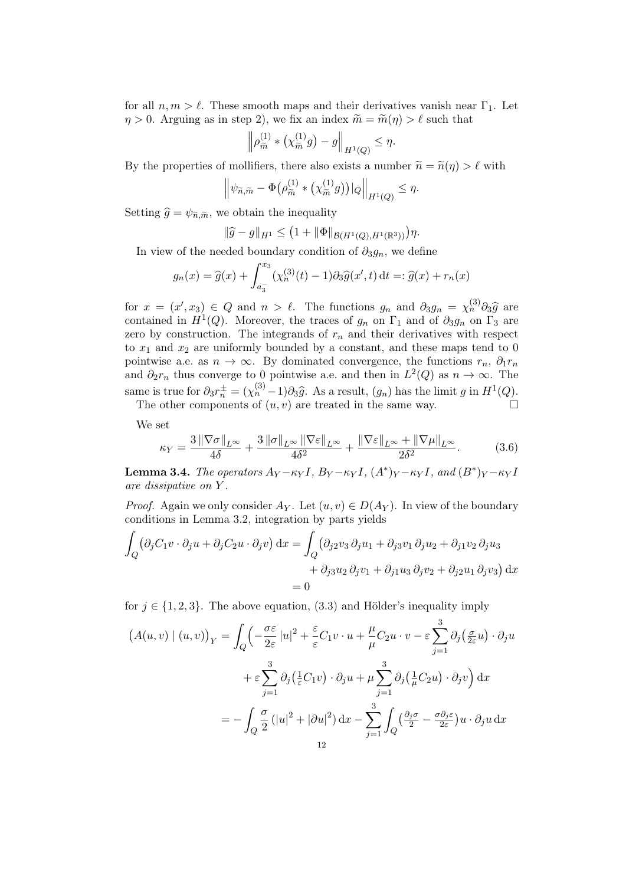for all  $n, m > l$ . These smooth maps and their derivatives vanish near  $\Gamma_1$ . Let  $\eta > 0$ . Arguing as in step 2), we fix an index  $\widetilde{m} = \widetilde{m}(\eta) > \ell$  such that

$$
\left\|\rho_{\widetilde{m}}^{(1)} * \left(\chi_{\widetilde{m}}^{(1)} g\right) - g\right\|_{H^1(Q)} \le \eta.
$$

By the properties of mollifiers, there also exists a number  $\tilde{n} = \tilde{n}(\eta) > \ell$  with

$$
\left\|\psi_{\widetilde{n},\widetilde{m}} - \Phi\big(\rho_{\widetilde{m}}^{(1)} * \big(\chi_{\widetilde{m}}^{(1)}g\big)\big)|_Q\right\|_{H^1(Q)} \leq \eta.
$$

Setting  $\hat{g} = \psi_{\tilde{n}, \tilde{m}}$ , we obtain the inequality

$$
\|\widehat{g} - g\|_{H^1} \le (1 + \|\Phi\|_{\mathcal{B}(H^1(Q), H^1(\mathbb{R}^3))})\eta.
$$

In view of the needed boundary condition of  $\partial_3 g_n$ , we define

$$
g_n(x) = \hat{g}(x) + \int_{a_3^-}^{x_3} (\chi_n^{(3)}(t) - 1) \partial_3 \hat{g}(x', t) dt =: \hat{g}(x) + r_n(x)
$$

for  $x = (x', x_3) \in Q$  and  $n > \ell$ . The functions  $g_n$  and  $\partial_3 g_n = \chi_n^{(3)} \partial_3 \hat{g}$  are<br>contained in  $H^1(O)$ . Moreover, the traces of  $g$ , on  $\Gamma_2$  and of  $\partial_3 g$ , on  $\Gamma_3$  are contained in  $H^1(Q)$ . Moreover, the traces of  $g_n$  on  $\Gamma_1$  and of  $\partial_3 g_n$  on  $\Gamma_3$  are zero by construction. The integrands of  $r_n$  and their derivatives with respect to  $x_1$  and  $x_2$  are uniformly bounded by a constant, and these maps tend to 0 pointwise a.e. as  $n \to \infty$ . By dominated convergence, the functions  $r_n$ ,  $\partial_1 r_n$ and  $\partial_2 r_n$  thus converge to 0 pointwise a.e. and then in  $L^2(Q)$  as  $n \to \infty$ . The same is true for  $\partial_3 r_n^{\pm} = (\chi_n^{(3)} - 1) \partial_3 \hat{g}$ . As a result,  $(g_n)$  has the limit g in  $H^1(Q)$ .<br>The other components of  $(g_n)$  are troated in the same way.

The other components of  $(u, v)$  are treated in the same way.  $\Box$ 

We set

$$
\kappa_Y = \frac{3\,\|\nabla\sigma\|_{L^\infty}}{4\delta} + \frac{3\,\|\sigma\|_{L^\infty}\,\|\nabla\varepsilon\|_{L^\infty}}{4\delta^2} + \frac{\|\nabla\varepsilon\|_{L^\infty} + \|\nabla\mu\|_{L^\infty}}{2\delta^2}.\tag{3.6}
$$

**Lemma 3.4.** The operators  $A_Y - \kappa_Y I$ ,  $B_Y - \kappa_Y I$ ,  $(A^*)_Y - \kappa_Y I$ , and  $(B^*)_Y - \kappa_Y I$ are dissipative on Y .

*Proof.* Again we only consider  $A_Y$ . Let  $(u, v) \in D(A_Y)$ . In view of the boundary conditions in Lemma 3.2, integration by parts yields

$$
\int_{Q} (\partial_{j}C_{1}v \cdot \partial_{j}u + \partial_{j}C_{2}u \cdot \partial_{j}v) dx = \int_{Q} (\partial_{j2}v_{3}\partial_{j}u_{1} + \partial_{j3}v_{1}\partial_{j}u_{2} + \partial_{j1}v_{2}\partial_{j}u_{3}
$$

$$
+ \partial_{j3}u_{2}\partial_{j}v_{1} + \partial_{j1}u_{3}\partial_{j}v_{2} + \partial_{j2}u_{1}\partial_{j}v_{3}) dx
$$

$$
= 0
$$

for  $j \in \{1, 2, 3\}$ . The above equation, (3.3) and Hölder's inequality imply

$$
\left(A(u,v) \mid (u,v)\right)_Y = \int_Q \left(-\frac{\sigma \varepsilon}{2\varepsilon} |u|^2 + \frac{\varepsilon}{\varepsilon} C_1 v \cdot u + \frac{\mu}{\mu} C_2 u \cdot v - \varepsilon \sum_{j=1}^3 \partial_j \left(\frac{\sigma}{2\varepsilon} u\right) \cdot \partial_j u\right. \\
\left. + \varepsilon \sum_{j=1}^3 \partial_j \left(\frac{1}{\varepsilon} C_1 v\right) \cdot \partial_j u + \mu \sum_{j=1}^3 \partial_j \left(\frac{1}{\mu} C_2 u\right) \cdot \partial_j v\right) dx \\
= - \int_Q \frac{\sigma}{2} \left(|u|^2 + |\partial u|^2\right) dx - \sum_{j=1}^3 \int_Q \left(\frac{\partial_j \sigma}{2} - \frac{\sigma \partial_j \varepsilon}{2\varepsilon}\right) u \cdot \partial_j u \, dx \\
= 12
$$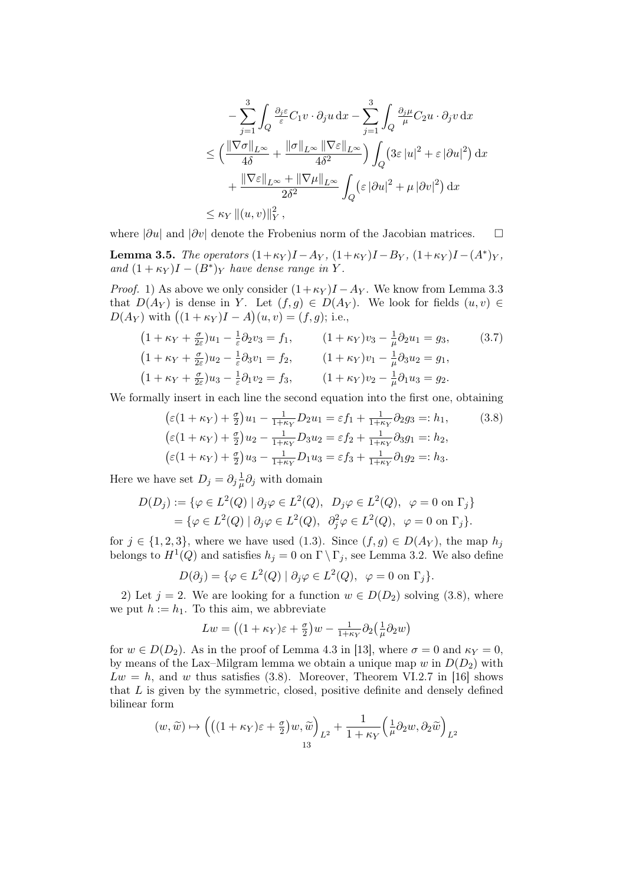$$
- \sum_{j=1}^{3} \int_{Q} \frac{\partial_{j} \varepsilon}{\varepsilon} C_{1} v \cdot \partial_{j} u \,dx - \sum_{j=1}^{3} \int_{Q} \frac{\partial_{j} \mu}{\mu} C_{2} u \cdot \partial_{j} v \,dx
$$
  

$$
\leq \left( \frac{\|\nabla \sigma\|_{L^{\infty}}}{4\delta} + \frac{\|\sigma\|_{L^{\infty}} \|\nabla \varepsilon\|_{L^{\infty}}}{4\delta^{2}} \right) \int_{Q} \left( 3\varepsilon |u|^{2} + \varepsilon |\partial u|^{2} \right) dx
$$
  

$$
+ \frac{\|\nabla \varepsilon\|_{L^{\infty}} + \|\nabla \mu\|_{L^{\infty}}}{2\delta^{2}} \int_{Q} \left( \varepsilon |\partial u|^{2} + \mu |\partial v|^{2} \right) dx
$$
  

$$
\leq \kappa_{Y} ||(u, v)||_{Y}^{2},
$$

where  $|\partial u|$  and  $|\partial v|$  denote the Frobenius norm of the Jacobian matrices.  $\Box$ 

**Lemma 3.5.** The operators  $(1+\kappa_Y)I - A_Y$ ,  $(1+\kappa_Y)I - B_Y$ ,  $(1+\kappa_Y)I - (A^*)_Y$ , and  $(1 + \kappa_Y)I - (B^*)_Y$  have dense range in Y.

*Proof.* 1) As above we only consider  $(1+\kappa_Y)I - A_Y$ . We know from Lemma 3.3 that  $D(A_Y)$  is dense in Y. Let  $(f,g) \in D(A_Y)$ . We look for fields  $(u, v) \in$  $D(A_Y)$  with  $((1 + \kappa_Y)I - A)(u, v) = (f, g)$ ; i.e.,

$$
(1 + \kappa_Y + \frac{\sigma}{2\varepsilon})u_1 - \frac{1}{\varepsilon}\partial_2 v_3 = f_1, \qquad (1 + \kappa_Y)v_3 - \frac{1}{\mu}\partial_2 u_1 = g_3, \qquad (3.7)
$$
  
\n
$$
(1 + \kappa_Y + \frac{\sigma}{2\varepsilon})u_2 - \frac{1}{\varepsilon}\partial_3 v_1 = f_2, \qquad (1 + \kappa_Y)v_1 - \frac{1}{\mu}\partial_3 u_2 = g_1,
$$
  
\n
$$
(1 + \kappa_Y + \frac{\sigma}{2\varepsilon})u_3 - \frac{1}{\varepsilon}\partial_1 v_2 = f_3, \qquad (1 + \kappa_Y)v_2 - \frac{1}{\mu}\partial_1 u_3 = g_2.
$$

We formally insert in each line the second equation into the first one, obtaining

$$
\begin{aligned}\n(\varepsilon(1 + \kappa_Y) + \frac{\sigma}{2})u_1 - \frac{1}{1 + \kappa_Y} D_2 u_1 &= \varepsilon f_1 + \frac{1}{1 + \kappa_Y} \partial_2 g_3 =: h_1, \\
(\varepsilon(1 + \kappa_Y) + \frac{\sigma}{2})u_2 - \frac{1}{1 + \kappa_Y} D_3 u_2 &= \varepsilon f_2 + \frac{1}{1 + \kappa_Y} \partial_3 g_1 =: h_2, \\
(\varepsilon(1 + \kappa_Y) + \frac{\sigma}{2})u_3 - \frac{1}{1 + \kappa_Y} D_1 u_3 &= \varepsilon f_3 + \frac{1}{1 + \kappa_Y} \partial_1 g_2 =: h_3.\n\end{aligned}
$$
\n(3.8)

Here we have set  $D_j = \partial_j \frac{1}{\mu}$  $\frac{1}{\mu}\partial_j$  with domain

$$
D(D_j) := \{ \varphi \in L^2(Q) \mid \partial_j \varphi \in L^2(Q), \ D_j \varphi \in L^2(Q), \ \varphi = 0 \text{ on } \Gamma_j \}
$$
  
=  $\{ \varphi \in L^2(Q) \mid \partial_j \varphi \in L^2(Q), \ \partial_j^2 \varphi \in L^2(Q), \ \varphi = 0 \text{ on } \Gamma_j \}.$ 

for  $j \in \{1,2,3\}$ , where we have used (1.3). Since  $(f,g) \in D(A_Y)$ , the map  $h_j$ belongs to  $H^1(Q)$  and satisfies  $h_j = 0$  on  $\Gamma \setminus \Gamma_j$ , see Lemma 3.2. We also define

$$
D(\partial_j) = \{ \varphi \in L^2(Q) \mid \partial_j \varphi \in L^2(Q), \ \varphi = 0 \text{ on } \Gamma_j \}.
$$

2) Let  $j = 2$ . We are looking for a function  $w \in D(D_2)$  solving (3.8), where we put  $h := h_1$ . To this aim, we abbreviate

$$
Lw = ((1 + \kappa_Y)\varepsilon + \frac{\sigma}{2})w - \frac{1}{1 + \kappa_Y} \partial_2(\frac{1}{\mu}\partial_2w)
$$

for  $w \in D(D_2)$ . As in the proof of Lemma 4.3 in [13], where  $\sigma = 0$  and  $\kappa_Y = 0$ , by means of the Lax–Milgram lemma we obtain a unique map  $w$  in  $D(D_2)$  with  $Lw = h$ , and w thus satisfies (3.8). Moreover, Theorem VI.2.7 in [16] shows that  $L$  is given by the symmetric, closed, positive definite and densely defined bilinear form

$$
(w,\widetilde{w}) \mapsto \left( \left( (1+\kappa_Y) \varepsilon + \frac{\sigma}{2} \right) w, \widetilde{w} \right)_{L^2} + \frac{1}{1+\kappa_Y} \left( \frac{1}{\mu} \partial_2 w, \partial_2 \widetilde{w} \right)_{L^2}
$$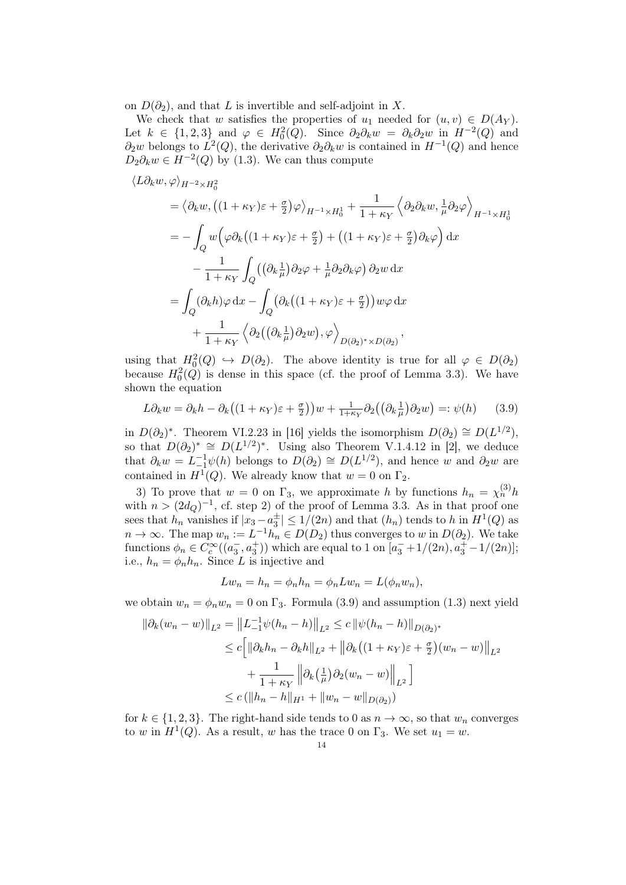on  $D(\partial_2)$ , and that L is invertible and self-adjoint in X.

We check that w satisfies the properties of  $u_1$  needed for  $(u, v) \in D(A_Y)$ . Let  $k \in \{1,2,3\}$  and  $\varphi \in H_0^2(Q)$ . Since  $\partial_2 \partial_k w = \partial_k \partial_2 w$  in  $H^{-2}(Q)$  and  $\partial_2 w$  belongs to  $L^2(Q)$ , the derivative  $\partial_2 \partial_k w$  is contained in  $H^{-1}(Q)$  and hence  $D_2 \partial_k w \in H^{-2}(Q)$  by (1.3). We can thus compute

$$
\langle L\partial_k w, \varphi \rangle_{H^{-2} \times H_0^2}
$$
  
=  $\langle \partial_k w, ((1 + \kappa_Y)\varepsilon + \frac{\sigma}{2})\varphi \rangle_{H^{-1} \times H_0^1} + \frac{1}{1 + \kappa_Y} \langle \partial_2 \partial_k w, \frac{1}{\mu} \partial_2 \varphi \rangle_{H^{-1} \times H_0^1}$   
=  $-\int_Q w \Big( \varphi \partial_k ((1 + \kappa_Y)\varepsilon + \frac{\sigma}{2}) + ((1 + \kappa_Y)\varepsilon + \frac{\sigma}{2}) \partial_k \varphi \Big) dx$   
 $-\frac{1}{1 + \kappa_Y} \int_Q ((\partial_k \frac{1}{\mu}) \partial_2 \varphi + \frac{1}{\mu} \partial_2 \partial_k \varphi) \partial_2 w dx$   
=  $\int_Q (\partial_k h) \varphi dx - \int_Q (\partial_k ((1 + \kappa_Y)\varepsilon + \frac{\sigma}{2})) w \varphi dx$   
 $+\frac{1}{1 + \kappa_Y} \langle \partial_2 ((\partial_k \frac{1}{\mu}) \partial_2 w), \varphi \rangle_{D(\partial_2)^* \times D(\partial_2)},$ 

using that  $H_0^2(Q) \hookrightarrow D(\partial_2)$ . The above identity is true for all  $\varphi \in D(\partial_2)$ because  $H_0^2(Q)$  is dense in this space (cf. the proof of Lemma 3.3). We have shown the equation

$$
L\partial_k w = \partial_k h - \partial_k \left( (1 + \kappa_Y) \varepsilon + \frac{\sigma}{2} \right) w + \frac{1}{1 + \kappa_Y} \partial_2 \left( \left( \partial_k \frac{1}{\mu} \right) \partial_2 w \right) =: \psi(h) \tag{3.9}
$$

in  $D(\partial_2)^*$ . Theorem VI.2.23 in [16] yields the isomorphism  $D(\partial_2) \cong D(L^{1/2})$ , so that  $D(\partial_2)^* \cong D(L^{1/2})^*$ . Using also Theorem V.1.4.12 in [2], we deduce that  $\partial_k w = L_{-1}^{-1} \psi(h)$  belongs to  $D(\partial_2) \cong D(L^{1/2})$ , and hence w and  $\partial_2 w$  are contained in  $H^1(Q)$ . We already know that  $w = 0$  on  $\Gamma_2$ .

3) To prove that  $w = 0$  on  $\Gamma_3$ , we approximate h by functions  $h_n = \chi_n^{(3)} h$ with  $n > (2d_Q)^{-1}$ , cf. step 2) of the proof of Lemma 3.3. As in that proof one sees that  $h_n$  vanishes if  $|x_3 - a_3^{\pm}| \leq 1/(2n)$  and that  $(h_n)$  tends to h in  $H^1(Q)$  as  $n \to \infty$ . The map  $w_n := L^{-1} h_n \in D(D_2)$  thus converges to w in  $D(\partial_2)$ . We take functions  $\phi_n \in C_c^{\infty}((a_3^-, a_3^+))$  which are equal to 1 on  $[a_3^- + 1/(2n), a_3^+ - 1/(2n)]$ ; i.e.,  $h_n = \phi_n h_n$ . Since L is injective and

$$
Lw_n = h_n = \phi_n h_n = \phi_n Lw_n = L(\phi_n w_n),
$$

we obtain  $w_n = \phi_n w_n = 0$  on  $\Gamma_3$ . Formula (3.9) and assumption (1.3) next yield

$$
\|\partial_k (w_n - w)\|_{L^2} = \|L_{-1}^{-1} \psi(h_n - h)\|_{L^2} \le c \|\psi(h_n - h)\|_{D(\partial_2)^*}
$$
  
\n
$$
\le c \Big[ \|\partial_k h_n - \partial_k h\|_{L^2} + \|\partial_k \big((1 + \kappa_Y)\varepsilon + \frac{\sigma}{2}\big)(w_n - w)\Big\|_{L^2}
$$
  
\n
$$
+ \frac{1}{1 + \kappa_Y} \Big\|\partial_k \big(\frac{1}{\mu}\big)\partial_2 (w_n - w)\Big\|_{L^2} \Big]
$$
  
\n
$$
\le c \big(\|h_n - h\|_{H^1} + \|w_n - w\|_{D(\partial_2)}\big)
$$

for  $k \in \{1,2,3\}$ . The right-hand side tends to 0 as  $n \to \infty$ , so that  $w_n$  converges to w in  $H^1(Q)$ . As a result, w has the trace 0 on  $\Gamma_3$ . We set  $u_1 = w$ .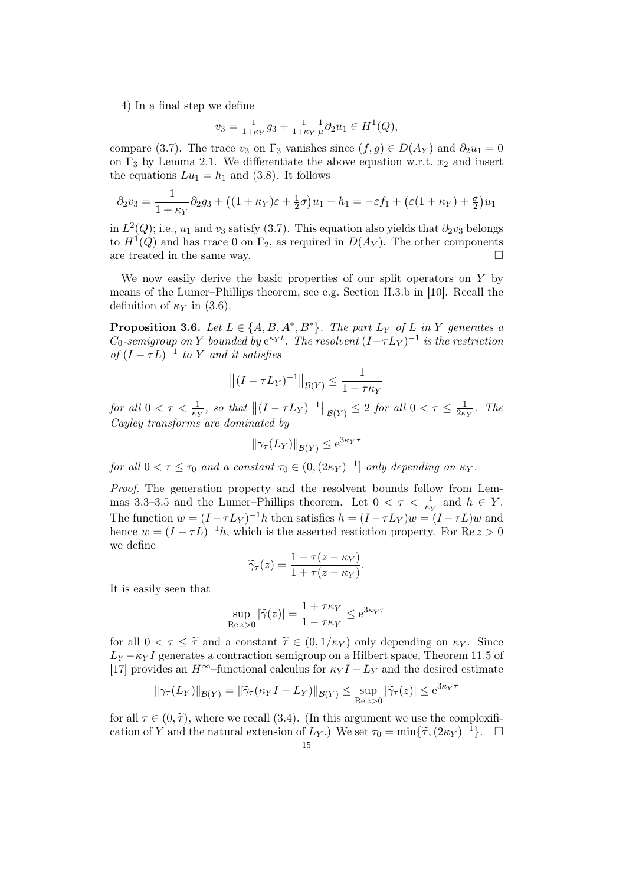4) In a final step we define

$$
v_3 = \frac{1}{1 + \kappa_Y} g_3 + \frac{1}{1 + \kappa_Y} \frac{1}{\mu} \partial_2 u_1 \in H^1(Q),
$$

compare (3.7). The trace  $v_3$  on  $\Gamma_3$  vanishes since  $(f, g) \in D(A_Y)$  and  $\partial_2 u_1 = 0$ on  $\Gamma_3$  by Lemma 2.1. We differentiate the above equation w.r.t.  $x_2$  and insert the equations  $Lu_1 = h_1$  and (3.8). It follows

$$
\partial_2 v_3 = \frac{1}{1 + \kappa_Y} \partial_2 g_3 + \left( (1 + \kappa_Y)\varepsilon + \frac{1}{2}\sigma \right) u_1 - h_1 = -\varepsilon f_1 + \left( \varepsilon (1 + \kappa_Y) + \frac{\sigma}{2} \right) u_1
$$

in  $L^2(Q)$ ; i.e.,  $u_1$  and  $v_3$  satisfy (3.7). This equation also yields that  $\partial_2 v_3$  belongs to  $H^1(Q)$  and has trace 0 on  $\Gamma_2$ , as required in  $D(A_Y)$ . The other components are treated in the same way.  $\Box$ 

We now easily derive the basic properties of our split operators on  $Y$  by means of the Lumer–Phillips theorem, see e.g. Section II.3.b in [10]. Recall the definition of  $\kappa_Y$  in (3.6).

**Proposition 3.6.** Let  $L \in \{A, B, A^*, B^*\}$ . The part  $L_Y$  of L in Y generates a  $C_0$ -semigroup on Y bounded by  $e^{\kappa_Y t}$ . The resolvent  $(I-\tau L_Y)^{-1}$  is the restriction of  $(I - \tau L)^{-1}$  to Y and it satisfies

$$
\left\| (I - \tau L_Y)^{-1} \right\|_{\mathcal{B}(Y)} \le \frac{1}{1 - \tau \kappa_Y}
$$

for all  $0 < \tau < \frac{1}{\kappa_Y}$ , so that  $||(I - \tau L_Y)^{-1}||_{\mathcal{B}(Y)} \leq 2$  for all  $0 < \tau \leq \frac{1}{2\kappa_Y}$  $\frac{1}{2\kappa_Y}$ . The Cayley transforms are dominated by

$$
\|\gamma_\tau(L_Y)\|_{\mathcal{B}(Y)} \le e^{3\kappa_Y \tau}
$$

for all  $0 < \tau \leq \tau_0$  and a constant  $\tau_0 \in (0, (2\kappa_Y)^{-1}]$  only depending on  $\kappa_Y$ .

Proof. The generation property and the resolvent bounds follow from Lemmas 3.3–3.5 and the Lumer–Phillips theorem. Let  $0 < \tau < \frac{1}{\kappa_Y}$  and  $h \in Y$ . The function  $w = (I - \tau L_Y)^{-1}h$  then satisfies  $h = (I - \tau L_Y)w = (I - \tau L)w$  and hence  $w = (I - \tau L)^{-1}h$ , which is the asserted restiction property. For Re  $z > 0$ we define

$$
\widetilde{\gamma}_{\tau}(z) = \frac{1 - \tau(z - \kappa_Y)}{1 + \tau(z - \kappa_Y)}.
$$

It is easily seen that

$$
\sup_{\text{Re } z > 0} |\tilde{\gamma}(z)| = \frac{1 + \tau \kappa_Y}{1 - \tau \kappa_Y} \le e^{3\kappa_Y \tau}
$$

for all  $0 < \tau < \tilde{\tau}$  and a constant  $\tilde{\tau} \in (0, 1/\kappa_Y)$  only depending on  $\kappa_Y$ . Since  $L_Y - \kappa_Y I$  generates a contraction semigroup on a Hilbert space, Theorem 11.5 of [17] provides an  $H^{\infty}$ –functional calculus for  $\kappa_Y I - L_Y$  and the desired estimate

$$
\|\gamma_\tau(L_Y)\|_{\mathcal{B}(Y)} = \|\widetilde{\gamma}_\tau(\kappa_Y I - L_Y)\|_{\mathcal{B}(Y)} \le \sup_{\text{Re } z > 0} |\widetilde{\gamma}_\tau(z)| \le e^{3\kappa_Y \tau}
$$

for all  $\tau \in (0, \tilde{\tau})$ , where we recall (3.4). (In this argument we use the complexification of Y and the natural extension of  $L_Y$ .) We set  $\tau_0 = \min{\{\tilde{\tau}, (2\kappa_Y)^{-1}\}}$ .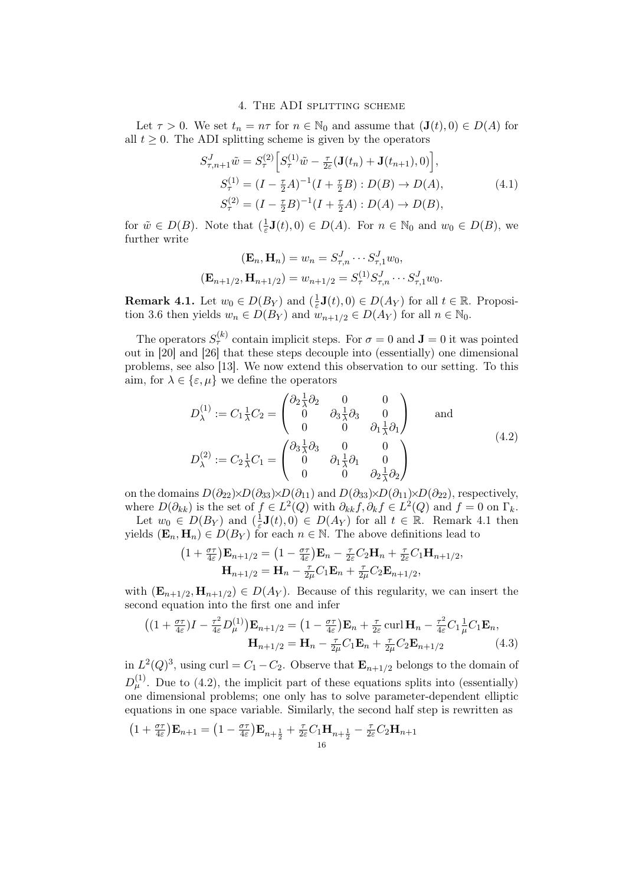### 4. The ADI splitting scheme

Let  $\tau > 0$ . We set  $t_n = n\tau$  for  $n \in \mathbb{N}_0$  and assume that  $(\mathbf{J}(t), 0) \in D(A)$  for all  $t \geq 0$ . The ADI splitting scheme is given by the operators

$$
S_{\tau,n+1}^{J}\tilde{w} = S_{\tau}^{(2)} \Big[ S_{\tau}^{(1)}\tilde{w} - \frac{\tau}{2\varepsilon} (\mathbf{J}(t_n) + \mathbf{J}(t_{n+1}), 0) \Big],
$$
  
\n
$$
S_{\tau}^{(1)} = (I - \frac{\tau}{2}A)^{-1} (I + \frac{\tau}{2}B) : D(B) \to D(A),
$$
  
\n
$$
S_{\tau}^{(2)} = (I - \frac{\tau}{2}B)^{-1} (I + \frac{\tau}{2}A) : D(A) \to D(B),
$$
\n(4.1)

for  $\tilde{w} \in D(B)$ . Note that  $\left(\frac{1}{\varepsilon}\right)$  $\frac{1}{\varepsilon}$ **J**(*t*), 0)  $\in$  *D*(*A*). For  $n \in \mathbb{N}_0$  and  $w_0 \in$  *D*(*B*), we further write

$$
(\mathbf{E}_n, \mathbf{H}_n) = w_n = S_{\tau,n}^J \cdots S_{\tau,1}^J w_0,
$$
  

$$
(\mathbf{E}_{n+1/2}, \mathbf{H}_{n+1/2}) = w_{n+1/2} = S_{\tau}^{(1)} S_{\tau,n}^J \cdots S_{\tau,1}^J w_0.
$$

**Remark 4.1.** Let  $w_0 \in D(B_Y)$  and  $\left(\frac{1}{\varepsilon}\right)$  $\frac{1}{\varepsilon}$ **J** $(t)$ , 0)  $\in$  *D* $(A_Y)$  for all  $t \in \mathbb{R}$ . Proposition 3.6 then yields  $w_n \in D(B_Y)$  and  $w_{n+1/2} \in D(A_Y)$  for all  $n \in \mathbb{N}_0$ .

The operators  $S_{\tau}^{(k)}$  contain implicit steps. For  $\sigma = 0$  and  $\mathbf{J} = 0$  it was pointed out in [20] and [26] that these steps decouple into (essentially) one dimensional problems, see also [13]. We now extend this observation to our setting. To this aim, for  $\lambda \in \{\varepsilon, \mu\}$  we define the operators

$$
D_{\lambda}^{(1)} := C_1 \frac{1}{\lambda} C_2 = \begin{pmatrix} \partial_2 \frac{1}{\lambda} \partial_2 & 0 & 0 \\ 0 & \partial_3 \frac{1}{\lambda} \partial_3 & 0 \\ 0 & 0 & \partial_1 \frac{1}{\lambda} \partial_1 \end{pmatrix} \text{ and}
$$
  
\n
$$
D_{\lambda}^{(2)} := C_2 \frac{1}{\lambda} C_1 = \begin{pmatrix} \partial_3 \frac{1}{\lambda} \partial_3 & 0 & 0 \\ 0 & \partial_1 \frac{1}{\lambda} \partial_1 & 0 \\ 0 & 0 & \partial_2 \frac{1}{\lambda} \partial_2 \end{pmatrix}
$$
\n
$$
(4.2)
$$

on the domains  $D(\partial_{22}) \times D(\partial_{33}) \times D(\partial_{11})$  and  $D(\partial_{33}) \times D(\partial_{11}) \times D(\partial_{22})$ , respectively, where  $D(\partial_{kk})$  is the set of  $f \in L^2(Q)$  with  $\partial_{kk} f, \partial_k f \in L^2(Q)$  and  $f = 0$  on  $\Gamma_k$ .

Let  $w_0 \in D(B_Y)$  and  $\left(\frac{1}{\varepsilon}\right)$  $\frac{1}{\varepsilon}$ **J**(*t*), 0)  $\in$  *D*(*A*<sub>*Y*</sub>) for all *t*  $\in$  **R**. Remark 4.1 then yields  $(\mathbf{E}_n, \mathbf{H}_n) \in D(B_Y)$  for each  $n \in \mathbb{N}$ . The above definitions lead to

$$
(1 + \frac{\sigma\tau}{4\varepsilon})\mathbf{E}_{n+1/2} = (1 - \frac{\sigma\tau}{4\varepsilon})\mathbf{E}_n - \frac{\tau}{2\varepsilon}C_2\mathbf{H}_n + \frac{\tau}{2\varepsilon}C_1\mathbf{H}_{n+1/2},
$$

$$
\mathbf{H}_{n+1/2} = \mathbf{H}_n - \frac{\tau}{2\mu}C_1\mathbf{E}_n + \frac{\tau}{2\mu}C_2\mathbf{E}_{n+1/2},
$$

with  $(\mathbf{E}_{n+1/2}, \mathbf{H}_{n+1/2}) \in D(A_Y)$ . Because of this regularity, we can insert the second equation into the first one and infer

$$
((1+\tfrac{\sigma\tau}{4\varepsilon})I - \tfrac{\tau^2}{4\varepsilon}D_{\mu}^{(1)})\mathbf{E}_{n+1/2} = (1-\tfrac{\sigma\tau}{4\varepsilon})\mathbf{E}_n + \tfrac{\tau}{2\varepsilon}\operatorname{curl}\mathbf{H}_n - \tfrac{\tau^2}{4\varepsilon}C_1\frac{1}{\mu}C_1\mathbf{E}_n,
$$
  

$$
\mathbf{H}_{n+1/2} = \mathbf{H}_n - \tfrac{\tau}{2\mu}C_1\mathbf{E}_n + \tfrac{\tau}{2\mu}C_2\mathbf{E}_{n+1/2}
$$
(4.3)

in  $L^2(Q)^3$ , using curl =  $C_1 - C_2$ . Observe that  $\mathbf{E}_{n+1/2}$  belongs to the domain of  $D_{\mu}^{(1)}$ . Due to (4.2), the implicit part of these equations splits into (essentially) one dimensional problems; one only has to solve parameter-dependent elliptic equations in one space variable. Similarly, the second half step is rewritten as

$$
\left(1+\tfrac{\sigma\tau}{4\varepsilon}\right)\mathbf{E}_{n+1} = \left(1-\tfrac{\sigma\tau}{4\varepsilon}\right)\mathbf{E}_{n+\tfrac{1}{2}} + \tfrac{\tau}{2\varepsilon}C_1\mathbf{H}_{n+\tfrac{1}{2}} - \tfrac{\tau}{2\varepsilon}C_2\mathbf{H}_{n+1}
$$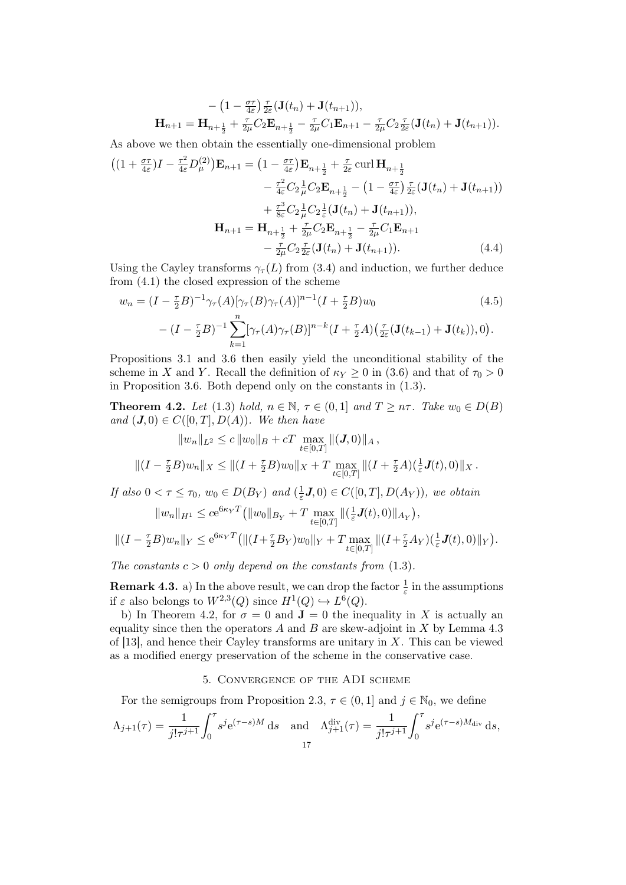$$
- (1 - \frac{\sigma \tau}{4\varepsilon}) \frac{\tau}{2\varepsilon} (\mathbf{J}(t_n) + \mathbf{J}(t_{n+1})),
$$
  
\n
$$
\mathbf{H}_{n+1} = \mathbf{H}_{n+\frac{1}{2}} + \frac{\tau}{2\mu} C_2 \mathbf{E}_{n+\frac{1}{2}} - \frac{\tau}{2\mu} C_1 \mathbf{E}_{n+1} - \frac{\tau}{2\mu} C_2 \frac{\tau}{2\varepsilon} (\mathbf{J}(t_n) + \mathbf{J}(t_{n+1})).
$$

As above we then obtain the essentially one-dimensional problem

$$
((1 + \frac{\sigma \tau}{4\varepsilon})I - \frac{\tau^2}{4\varepsilon}D_{\mu}^{(2)})\mathbf{E}_{n+1} = (1 - \frac{\sigma \tau}{4\varepsilon})\mathbf{E}_{n+\frac{1}{2}} + \frac{\tau}{2\varepsilon} \operatorname{curl} \mathbf{H}_{n+\frac{1}{2}} - \frac{\tau^2}{4\varepsilon}C_2 \frac{1}{\mu} C_2 \mathbf{E}_{n+\frac{1}{2}} - (1 - \frac{\sigma \tau}{4\varepsilon})\frac{\tau}{2\varepsilon}(\mathbf{J}(t_n) + \mathbf{J}(t_{n+1})) + \frac{\tau^3}{8\varepsilon}C_2 \frac{1}{\mu} C_2 \frac{1}{\varepsilon}(\mathbf{J}(t_n) + \mathbf{J}(t_{n+1})), \mathbf{H}_{n+1} = \mathbf{H}_{n+\frac{1}{2}} + \frac{\tau}{2\mu} C_2 \mathbf{E}_{n+\frac{1}{2}} - \frac{\tau}{2\mu} C_1 \mathbf{E}_{n+1} - \frac{\tau}{2\mu} C_2 \frac{\tau}{2\varepsilon}(\mathbf{J}(t_n) + \mathbf{J}(t_{n+1})).
$$
\n(4.4)

Using the Cayley transforms  $\gamma_{\tau}(L)$  from (3.4) and induction, we further deduce from (4.1) the closed expression of the scheme

$$
w_n = (I - \frac{\tau}{2}B)^{-1} \gamma_\tau(A) [\gamma_\tau(B) \gamma_\tau(A)]^{n-1} (I + \frac{\tau}{2}B) w_0
$$
(4.5)  

$$
- (I - \frac{\tau}{2}B)^{-1} \sum_{k=1}^n [\gamma_\tau(A) \gamma_\tau(B)]^{n-k} (I + \frac{\tau}{2}A) (\frac{\tau}{2\varepsilon} (\mathbf{J}(t_{k-1}) + \mathbf{J}(t_k)), 0).
$$

Propositions 3.1 and 3.6 then easily yield the unconditional stability of the scheme in X and Y. Recall the definition of  $\kappa_Y \geq 0$  in (3.6) and that of  $\tau_0 > 0$ in Proposition 3.6. Both depend only on the constants in (1.3).

**Theorem 4.2.** Let (1.3) hold,  $n \in \mathbb{N}$ ,  $\tau \in (0,1]$  and  $T \geq n\tau$ . Take  $w_0 \in D(B)$ and  $(\mathbf{J}, 0) \in C([0, T], D(A))$ . We then have

$$
||w_n||_{L^2} \le c ||w_0||_B + cT \max_{t \in [0,T]} ||(\mathbf{J}, 0)||_A,
$$
  

$$
||(I - \frac{\tau}{2}B)w_n||_X \le ||(I + \frac{\tau}{2}B)w_0||_X + T \max_{t \in [0,T]} ||(I + \frac{\tau}{2}A)(\frac{1}{\varepsilon}\mathbf{J}(t), 0)||_X.
$$

If also  $0 < \tau \leq \tau_0$ ,  $w_0 \in D(B_Y)$  and  $\left(\frac{1}{\varepsilon}\right)$  $(\frac{1}{\varepsilon}J,0) \in C([0,T],D(A_Y)),$  we obtain

$$
||w_n||_{H^1} \le c e^{6\kappa_Y T} (||w_0||_{B_Y} + T \max_{t \in [0,T]} ||(\frac{1}{\varepsilon} \mathbf{J}(t), 0)||_{A_Y}),
$$
  

$$
||(I - \frac{\tau}{2}B)w_n||_Y \le e^{6\kappa_Y T} (||(I + \frac{\tau}{2}B_Y)w_0||_Y + T \max_{t \in [0,T]} ||(I + \frac{\tau}{2}A_Y)(\frac{1}{\varepsilon} \mathbf{J}(t), 0)||_Y)
$$

.

The constants  $c > 0$  only depend on the constants from (1.3).

**Remark 4.3.** a) In the above result, we can drop the factor  $\frac{1}{\varepsilon}$  in the assumptions if  $\varepsilon$  also belongs to  $W^{2,3}(Q)$  since  $H^1(Q) \hookrightarrow L^6(Q)$ .

b) In Theorem 4.2, for  $\sigma = 0$  and  $\mathbf{J} = 0$  the inequality in X is actually an equality since then the operators  $A$  and  $B$  are skew-adjoint in  $X$  by Lemma 4.3 of [13], and hence their Cayley transforms are unitary in  $X$ . This can be viewed as a modified energy preservation of the scheme in the conservative case.

## 5. Convergence of the ADI scheme

For the semigroups from Proposition 2.3,  $\tau \in (0, 1]$  and  $j \in \mathbb{N}_0$ , we define

$$
\Lambda_{j+1}(\tau) = \frac{1}{j!\tau^{j+1}} \int_0^{\tau} s^j e^{(\tau-s)M} ds \quad \text{and} \quad \Lambda_{j+1}^{\text{div}}(\tau) = \frac{1}{j!\tau^{j+1}} \int_0^{\tau} s^j e^{(\tau-s)M_{\text{div}}} ds,
$$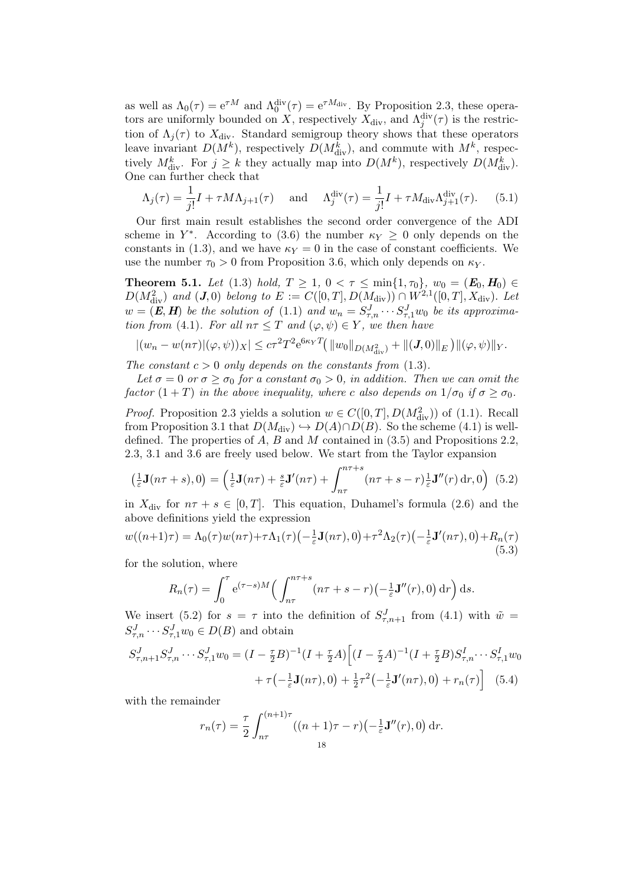as well as  $\Lambda_0(\tau) = e^{\tau M}$  and  $\Lambda_0^{\text{div}}(\tau) = e^{\tau M_{\text{div}}}$ . By Proposition 2.3, these operators are uniformly bounded on X, respectively  $X_{\text{div}}$ , and  $\Lambda_j^{\text{div}}(\tau)$  is the restriction of  $\Lambda_j(\tau)$  to  $X_{\text{div}}$ . Standard semigroup theory shows that these operators leave invariant  $D(M^k)$ , respectively  $D(M^k_{div})$ , and commute with  $M^k$ , respectively  $M_{\text{div}}^k$ . For  $j \geq k$  they actually map into  $D(M^k)$ , respectively  $D(M_{\text{div}}^k)$ . One can further check that

$$
\Lambda_j(\tau) = \frac{1}{j!}I + \tau M \Lambda_{j+1}(\tau) \quad \text{and} \quad \Lambda_j^{\text{div}}(\tau) = \frac{1}{j!}I + \tau M_{\text{div}} \Lambda_{j+1}^{\text{div}}(\tau). \tag{5.1}
$$

Our first main result establishes the second order convergence of the ADI scheme in  $Y^*$ . According to (3.6) the number  $\kappa_Y \geq 0$  only depends on the constants in (1.3), and we have  $\kappa_Y = 0$  in the case of constant coefficients. We use the number  $\tau_0 > 0$  from Proposition 3.6, which only depends on  $\kappa_Y$ .

**Theorem 5.1.** Let (1.3) hold,  $T \ge 1$ ,  $0 < \tau \le \min\{1, \tau_0\}$ ,  $w_0 = (E_0, H_0) \in$  $D(M_{\text{div}}^2)$  and  $(J, 0)$  belong to  $E := C([0, T], D(M_{\text{div}})) \cap W^{2,1}([0, T], X_{\text{div}})$ . Let  $w = (E, H)$  be the solution of (1.1) and  $w_n = S^J_{\tau,n} \cdots S^J_{\tau,1} w_0$  be its approximation from (4.1). For all  $n\tau \leq T$  and  $(\varphi, \psi) \in Y$ , we then have

$$
|(w_n - w(n\tau)|(\varphi, \psi))_X| \le c\tau^2 T^2 e^{6\kappa_Y T} (||w_0||_{D(M^2_{div})} + ||(J, 0)||_E) ||(\varphi, \psi)||_Y.
$$

The constant  $c > 0$  only depends on the constants from (1.3).

Let  $\sigma = 0$  or  $\sigma \ge \sigma_0$  for a constant  $\sigma_0 > 0$ , in addition. Then we can omit the factor  $(1+T)$  in the above inequality, where c also depends on  $1/\sigma_0$  if  $\sigma \geq \sigma_0$ .

*Proof.* Proposition 2.3 yields a solution  $w \in C([0, T], D(M^2_{div}))$  of (1.1). Recall from Proposition 3.1 that  $D(M_{\text{div}}) \hookrightarrow D(A) \cap D(B)$ . So the scheme (4.1) is welldefined. The properties of  $A, B$  and  $M$  contained in  $(3.5)$  and Propositions 2.2, 2.3, 3.1 and 3.6 are freely used below. We start from the Taylor expansion

$$
\left(\frac{1}{\varepsilon}\mathbf{J}(n\tau+s),0\right) = \left(\frac{1}{\varepsilon}\mathbf{J}(n\tau) + \frac{s}{\varepsilon}\mathbf{J}'(n\tau) + \int_{n\tau}^{n\tau+s} (n\tau+s-r)\frac{1}{\varepsilon}\mathbf{J}''(r)\,\mathrm{d}r,0\right) \tag{5.2}
$$

in  $X_{\text{div}}$  for  $n\tau + s \in [0, T]$ . This equation, Duhamel's formula (2.6) and the above definitions yield the expression

$$
w((n+1)\tau) = \Lambda_0(\tau)w(n\tau) + \tau \Lambda_1(\tau) \left(-\frac{1}{\varepsilon}\mathbf{J}(n\tau), 0\right) + \tau^2 \Lambda_2(\tau) \left(-\frac{1}{\varepsilon}\mathbf{J}'(n\tau), 0\right) + R_n(\tau)
$$
\n(5.3)

for the solution, where

$$
R_n(\tau) = \int_0^{\tau} e^{(\tau - s)M} \left( \int_{n\tau}^{n\tau + s} (n\tau + s - r) \left( -\frac{1}{\varepsilon} \mathbf{J}''(r), 0 \right) dr \right) ds.
$$

We insert (5.2) for  $s = \tau$  into the definition of  $S^J_{\tau,n+1}$  from (4.1) with  $\tilde{w} =$  $S^J_{\tau,n} \cdots S^J_{\tau,1} w_0 \in D(B)$  and obtain

$$
S_{\tau,n+1}^{J} S_{\tau,n}^{J} \cdots S_{\tau,1}^{J} w_0 = (I - \frac{\tau}{2} B)^{-1} (I + \frac{\tau}{2} A) \Big[ (I - \frac{\tau}{2} A)^{-1} (I + \frac{\tau}{2} B) S_{\tau,n}^{I} \cdots S_{\tau,1}^{I} w_0
$$

$$
+ \tau \big( - \frac{1}{\varepsilon} \mathbf{J}(n\tau), 0 \big) + \frac{1}{2} \tau^2 \big( - \frac{1}{\varepsilon} \mathbf{J}'(n\tau), 0 \big) + r_n(\tau) \Big] \quad (5.4)
$$

with the remainder

$$
r_n(\tau) = \frac{\tau}{2} \int_{n\tau}^{(n+1)\tau} ((n+1)\tau - r) \left(-\frac{1}{\varepsilon} \mathbf{J}''(r), 0\right) dr.
$$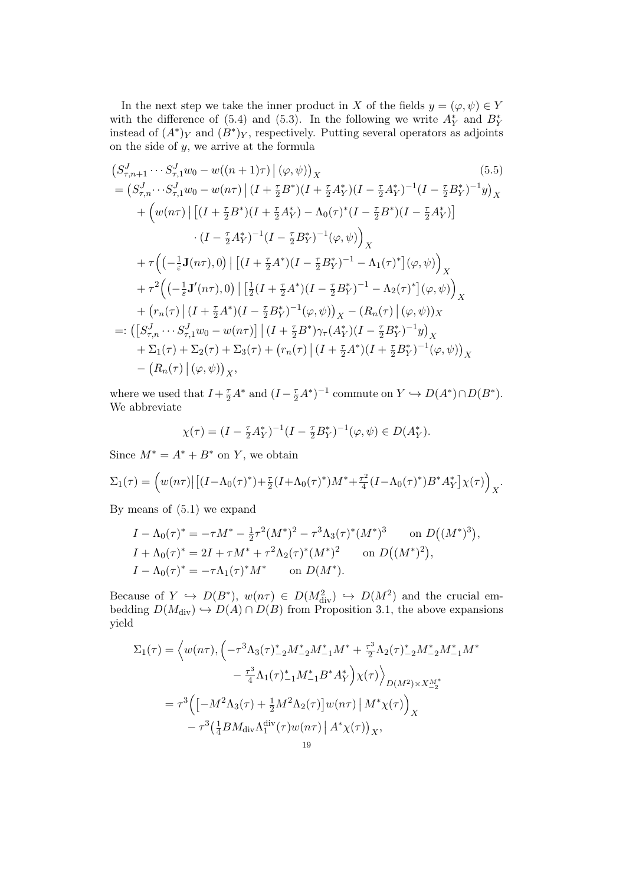In the next step we take the inner product in X of the fields  $y = (\varphi, \psi) \in Y$ with the difference of (5.4) and (5.3). In the following we write  $A^*$  and  $B^*$ instead of  $(A^*)_Y$  and  $(B^*)_Y$ , respectively. Putting several operators as adjoints on the side of  $y$ , we arrive at the formula

$$
(S_{\tau,n+1}^{J}\cdots S_{\tau,1}^{J}w_{0}-w((n+1)\tau)\mid(\varphi,\psi))_{X}
$$
\n
$$
=(S_{\tau,n}^{J}\cdots S_{\tau,1}^{J}w_{0}-w(n\tau)\mid(I+\frac{\tau}{2}B^{*})(I+\frac{\tau}{2}A_{Y}^{*})(I-\frac{\tau}{2}A_{Y}^{*})^{-1}(I-\frac{\tau}{2}B_{Y}^{*})^{-1}y)_{X}
$$
\n
$$
+\left(w(n\tau)\mid[(I+\frac{\tau}{2}B^{*})(I+\frac{\tau}{2}A_{Y}^{*})-\Lambda_{0}(\tau)^{*}(I-\frac{\tau}{2}B^{*})(I-\frac{\tau}{2}A_{Y}^{*})]\right)
$$
\n
$$
\cdot(I-\frac{\tau}{2}A_{Y}^{*})^{-1}(I-\frac{\tau}{2}B_{Y}^{*})^{-1}(\varphi,\psi)\right)_{X}
$$
\n
$$
+\tau\left(\left(-\frac{1}{\varepsilon}\mathbf{J}(n\tau),0\right)\mid[(I+\frac{\tau}{2}A^{*})(I-\frac{\tau}{2}B_{Y}^{*})^{-1}-\Lambda_{1}(\tau)^{*}](\varphi,\psi)\right)_{X}
$$
\n
$$
+\tau^{2}\left(\left(-\frac{1}{\varepsilon}\mathbf{J}'(n\tau),0\right)\mid[\frac{1}{2}(I+\frac{\tau}{2}A^{*})(I-\frac{\tau}{2}B_{Y}^{*})^{-1}-\Lambda_{2}(\tau)^{*}](\varphi,\psi)\right)_{X}
$$
\n
$$
+\left(r_{n}(\tau)\mid(I+\frac{\tau}{2}A^{*})(I-\frac{\tau}{2}B_{Y}^{*})^{-1}(\varphi,\psi)\right)_{X}-(R_{n}(\tau)\mid(\varphi,\psi))_{X}
$$
\n
$$
=:\left([S_{\tau,n}^{J}\cdots S_{\tau,1}^{J}w_{0}-w(n\tau)\right]\mid(I+\frac{\tau}{2}B^{*})\gamma_{\tau}(A_{Y}^{*})(I-\frac{\tau}{2}B_{Y}^{*})^{-1}y\right)_{X}
$$
\n
$$
+\Sigma_{1}(\tau)+\Sigma_{2}(\tau)+\Sigma_{3}(\tau)+\left(r_{n}(\tau)\mid(I+\frac{\tau}{2}A^{*})(I+\frac{\tau}{2}B_{Y}^{*})^{-1}(\varphi,\psi)\right)_{X}
$$
\n
$$
-\
$$

where we used that  $I + \frac{\tau}{2}A^*$  and  $(I - \frac{\tau}{2}A^*)^{-1}$  commute on  $Y \hookrightarrow D(A^*) \cap D(B^*)$ . We abbreviate

$$
\chi(\tau) = (I - \frac{\tau}{2} A_Y^*)^{-1} (I - \frac{\tau}{2} B_Y^*)^{-1} (\varphi, \psi) \in D(A_Y^*).
$$

Since  $M^* = A^* + B^*$  on Y, we obtain

$$
\Sigma_1(\tau) = \left( w(n\tau) \left| \left[ (I - \Lambda_0(\tau)^*) + \frac{\tau}{2} (I + \Lambda_0(\tau)^*) M^* + \frac{\tau^2}{4} (I - \Lambda_0(\tau)^*) B^* A_Y^* \right] \chi(\tau) \right)_{X}.
$$

By means of (5.1) we expand

$$
I - \Lambda_0(\tau)^* = -\tau M^* - \frac{1}{2}\tau^2 (M^*)^2 - \tau^3 \Lambda_3(\tau)^* (M^*)^3 \quad \text{on } D((M^*)^3),
$$
  
\n
$$
I + \Lambda_0(\tau)^* = 2I + \tau M^* + \tau^2 \Lambda_2(\tau)^* (M^*)^2 \quad \text{on } D((M^*)^2),
$$
  
\n
$$
I - \Lambda_0(\tau)^* = -\tau \Lambda_1(\tau)^* M^* \quad \text{on } D(M^*).
$$

Because of  $Y \hookrightarrow D(B^*)$ ,  $w(n\tau) \in D(M_{\text{div}}^2) \hookrightarrow D(M^2)$  and the crucial embedding  $D(M_{\text{div}}) \hookrightarrow D(A) \cap D(B)$  from Proposition 3.1, the above expansions yield

$$
\Sigma_1(\tau) = \left\langle w(n\tau), \left( -\tau^3 \Lambda_3(\tau)_{-2}^* M_{-2}^* M_{-1}^* M^* + \frac{\tau^3}{2} \Lambda_2(\tau)_{-2}^* M_{-2}^* M_{-1}^* M^* \right. \\ \left. - \frac{\tau^3}{4} \Lambda_1(\tau)_{-1}^* M_{-1}^* B^* A_Y^* \right) \chi(\tau) \right\rangle_{D(M^2) \times X_{-2}^{M*}} \\ = \tau^3 \left( \left[ -M^2 \Lambda_3(\tau) + \frac{1}{2} M^2 \Lambda_2(\tau) \right] w(n\tau) \left| M^* \chi(\tau) \right\rangle_X \\ - \tau^3 \left( \frac{1}{4} B M_{\text{div}} \Lambda_1^{\text{div}}(\tau) w(n\tau) \left| A^* \chi(\tau) \right\rangle_X,
$$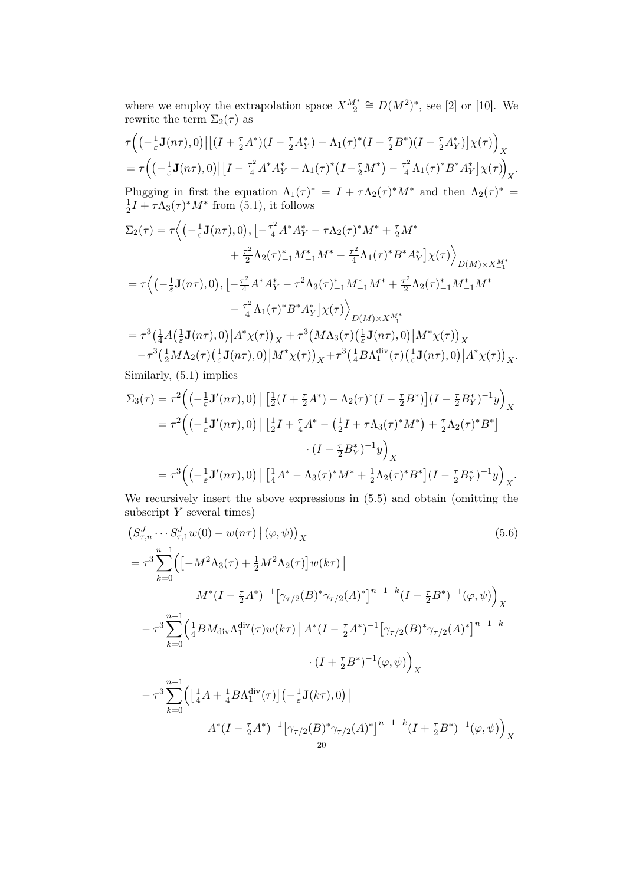where we employ the extrapolation space  $X_{-2}^{M^*} \cong D(M^2)^*$ , see [2] or [10]. We rewrite the term  $\Sigma_2(\tau)$  as

$$
\tau \Big( \big( -\frac{1}{\varepsilon} \mathbf{J}(n\tau), 0 \big) \big| \big[ (I + \frac{\tau}{2} A^*) (I - \frac{\tau}{2} A_Y^*) - \Lambda_1(\tau)^* (I - \frac{\tau}{2} B^*) (I - \frac{\tau}{2} A_Y^*) \big] \chi(\tau) \Big)_X
$$
\n
$$
= \tau \Big( \big( -\frac{1}{\varepsilon} \mathbf{J}(n\tau), 0 \big) \big| \big[ I - \frac{\tau^2}{4} A^* A_Y^* - \Lambda_1(\tau)^* \big( I - \frac{\tau}{2} M^* \big) - \frac{\tau^2}{4} \Lambda_1(\tau)^* B^* A_Y^* \big] \chi(\tau) \Big)_X.
$$
\nPlugging in first the equation  $\Lambda_1(\tau)^* = I + \tau \Lambda_2(\tau)^* M^*$  and then  $\Lambda_2(\tau)^* = \frac{1}{2} I + \tau \Lambda_3(\tau)^* M^*$  from (5.1), it follows

$$
\Sigma_{2}(\tau) = \tau \Big\langle \left( -\frac{1}{\varepsilon} \mathbf{J}(n\tau), 0 \right), \left[ -\frac{\tau^{2}}{4} A^{*} A^{*}_{Y} - \tau \Lambda_{2}(\tau)^{*} M^{*} + \frac{\tau}{2} M^{*} \right. \\ \left. + \frac{\tau^{2}}{2} \Lambda_{2}(\tau)^{*}_{-1} M^{*}_{-1} M^{*} - \frac{\tau^{2}}{4} \Lambda_{1}(\tau)^{*} B^{*} A^{*}_{Y} \right] \chi(\tau) \Big\rangle_{D(M) \times X_{-1}^{M^{*}}} \\ = \tau \Big\langle \left( -\frac{1}{\varepsilon} \mathbf{J}(n\tau), 0 \right), \left[ -\frac{\tau^{2}}{4} A^{*} A^{*}_{Y} - \tau^{2} \Lambda_{3}(\tau)^{*}_{-1} M^{*}_{-1} M^{*} + \frac{\tau^{2}}{2} \Lambda_{2}(\tau)^{*}_{-1} M^{*}_{-1} M^{*} \right. \\ \left. - \frac{\tau^{2}}{4} \Lambda_{1}(\tau)^{*} B^{*} A^{*}_{Y} \right] \chi(\tau) \Big\rangle_{D(M) \times X_{-1}^{M^{*}}} \\ = \tau^{3} \Big( \frac{1}{4} A \Big( \frac{1}{\varepsilon} \mathbf{J}(n\tau), 0 \Big) \Big| A^{*} \chi(\tau) \Big\rangle_{X} + \tau^{3} \Big( M \Lambda_{3}(\tau) \Big( \frac{1}{\varepsilon} \mathbf{J}(n\tau), 0 \Big) \Big| M^{*} \chi(\tau) \Big\rangle_{X} \\ - \tau^{3} \Big( \frac{1}{2} M \Lambda_{2}(\tau) \Big( \frac{1}{\varepsilon} \mathbf{J}(n\tau), 0 \Big) \Big| M^{*} \chi(\tau) \Big\rangle_{X} + \tau^{3} \Big( \frac{1}{4} B \Lambda_{1}^{\text{div}}(\tau) \Big( \frac{1}{\varepsilon} \mathbf{J}(n\tau), 0 \Big) \Big| A^{*} \chi(\tau) \Big\rangle_{X} .
$$

Similarly, (5.1) implies

$$
\Sigma_3(\tau) = \tau^2 \Big( \Big( -\frac{1}{\varepsilon} \mathbf{J}'(n\tau), 0 \Big) \Big[ \frac{1}{2} (I + \frac{\tau}{2} A^*) - \Lambda_2(\tau)^* (I - \frac{\tau}{2} B^*) \Big] (I - \frac{\tau}{2} B_Y^*)^{-1} y \Big)_X
$$
  
\n
$$
= \tau^2 \Big( \Big( -\frac{1}{\varepsilon} \mathbf{J}'(n\tau), 0 \Big) \Big[ \frac{1}{2} I + \frac{\tau}{4} A^* - \Big( \frac{1}{2} I + \tau \Lambda_3(\tau)^* M^* \Big) + \frac{\tau}{2} \Lambda_2(\tau)^* B^* \Big]
$$
  
\n
$$
\cdot (I - \frac{\tau}{2} B_Y^*)^{-1} y \Big)_X
$$
  
\n
$$
= \tau^3 \Big( \Big( -\frac{1}{\varepsilon} \mathbf{J}'(n\tau), 0 \Big) \Big[ \Big[ \frac{1}{4} A^* - \Lambda_3(\tau)^* M^* + \frac{1}{2} \Lambda_2(\tau)^* B^* \Big] (I - \frac{\tau}{2} B_Y^*)^{-1} y \Big)_X.
$$

We recursively insert the above expressions in (5.5) and obtain (omitting the subscript  $Y$  several times)

$$
\left(S_{\tau,n}^{J}\cdots S_{\tau,1}^{J}w(0)-w(n\tau)\right|\left(\varphi,\psi\right)\right)_{X}
$$
\n
$$
=\tau^{3}\sum_{k=0}^{n-1}\left(\left[-M^{2}\Lambda_{3}(\tau)+\frac{1}{2}M^{2}\Lambda_{2}(\tau)\right]w(k\tau)\right)
$$
\n
$$
M^{*}(I-\frac{\tau}{2}A^{*})^{-1}\left[\gamma_{\tau/2}(B)^{*}\gamma_{\tau/2}(A)^{*}\right]^{n-1-k}(I-\frac{\tau}{2}B^{*})^{-1}(\varphi,\psi)\right)_{X}
$$
\n
$$
-\tau^{3}\sum_{k=0}^{n-1}\left(\frac{1}{4}BM_{\text{div}}\Lambda_{1}^{\text{div}}(\tau)w(k\tau)\right)A^{*}(I-\frac{\tau}{2}A^{*})^{-1}\left[\gamma_{\tau/2}(B)^{*}\gamma_{\tau/2}(A)^{*}\right]^{n-1-k}
$$
\n
$$
\cdot\left(I+\frac{\tau}{2}B^{*}\right)^{-1}(\varphi,\psi)\right)_{X}
$$
\n
$$
-\tau^{3}\sum_{k=0}^{n-1}\left(\left[\frac{1}{4}A+\frac{1}{4}B\Lambda_{1}^{\text{div}}(\tau)\right](-\frac{1}{\varepsilon}\mathbf{J}(k\tau),0)\right)
$$
\n
$$
A^{*}(I-\frac{\tau}{2}A^{*})^{-1}\left[\gamma_{\tau/2}(B)^{*}\gamma_{\tau/2}(A)^{*}\right]^{n-1-k}(I+\frac{\tau}{2}B^{*})^{-1}(\varphi,\psi)\right)_{X}
$$
\n
$$
20
$$
\n(5.6)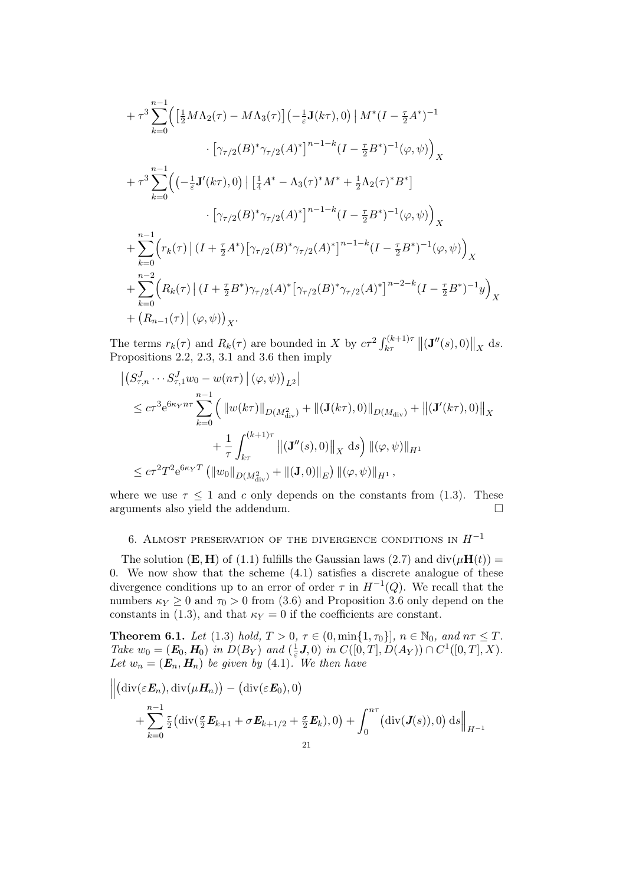$$
+ \tau^3 \sum_{k=0}^{n-1} \Big( \Big[ \frac{1}{2} M \Lambda_2(\tau) - M \Lambda_3(\tau) \Big] \Big( - \frac{1}{\varepsilon} \mathbf{J}(k\tau), 0 \Big) \Big| M^*(I - \frac{\tau}{2} A^*)^{-1} \Big| \n\cdot \Big[ \gamma_{\tau/2}(B)^* \gamma_{\tau/2}(A)^* \Big]^{n-1-k} (I - \frac{\tau}{2} B^*)^{-1} (\varphi, \psi) \Big)_X \n+ \tau^3 \sum_{k=0}^{n-1} \Big( \Big( - \frac{1}{\varepsilon} \mathbf{J}'(k\tau), 0 \Big) \Big[ \Big[ \frac{1}{4} A^* - \Lambda_3(\tau)^* M^* + \frac{1}{2} \Lambda_2(\tau)^* B^* \Big] \n\cdot \Big[ \gamma_{\tau/2}(B)^* \gamma_{\tau/2}(A)^* \Big]^{n-1-k} (I - \frac{\tau}{2} B^*)^{-1} (\varphi, \psi) \Big)_X \n+ \sum_{k=0}^{n-1} \Big( r_k(\tau) \Big| (I + \frac{\tau}{2} A^*) \Big[ \gamma_{\tau/2}(B)^* \gamma_{\tau/2}(A)^* \Big]^{n-1-k} (I - \frac{\tau}{2} B^*)^{-1} (\varphi, \psi) \Big)_X \n+ \sum_{k=0}^{n-2} \Big( R_k(\tau) \Big| (I + \frac{\tau}{2} B^*) \gamma_{\tau/2}(A)^* \Big[ \gamma_{\tau/2}(B)^* \gamma_{\tau/2}(A)^* \Big]^{n-2-k} (I - \frac{\tau}{2} B^*)^{-1} y \Big)_X \n+ (R_{n-1}(\tau) \Big| (\varphi, \psi) \Big)_X.
$$

The terms  $r_k(\tau)$  and  $R_k(\tau)$  are bounded in X by  $c\tau^2 \int_{k\tau}^{(k+1)\tau} ||(\mathbf{J}''(s),0)||_X$  ds. Propositions 2.2, 2.3, 3.1 and 3.6 then imply

$$
\begin{split}\n&\left|\left(S_{\tau,n}^{J}\cdots S_{\tau,1}^{J}w_{0}-w(n\tau)\right|(\varphi,\psi)\right)_{L^{2}}| \\
&\leq c\tau^{3}e^{6\kappa_{Y}n\tau}\sum_{k=0}^{n-1}\left(\|w(k\tau)\|_{D(M_{\text{div}}^{2})}+\|(\mathbf{J}(k\tau),0)\|_{D(M_{\text{div}})}+\|(\mathbf{J}'(k\tau),0)\|_{X} \right) \\
&+\frac{1}{\tau}\int_{k\tau}^{(k+1)\tau}\left\|(\mathbf{J}''(s),0)\right\|_{X}\mathrm{d}s\right)\|(\varphi,\psi)\|_{H^{1}} \\
&\leq c\tau^{2}T^{2}e^{6\kappa_{Y}T}\left(\|w_{0}\|_{D(M_{\text{div}}^{2})}+\|(\mathbf{J},0)\|_{E}\right)\|(\varphi,\psi)\|_{H^{1}},\n\end{split}
$$

where we use  $\tau \leq 1$  and c only depends on the constants from (1.3). These arguments also yield the addendum.  $\hfill \square$ 

# 6. ALMOST PRESERVATION OF THE DIVERGENCE CONDITIONS IN  $H^{-1}$

The solution (**E, H**) of (1.1) fulfills the Gaussian laws (2.7) and  $\text{div}(\mu\mathbf{H}(t)) =$ 0. We now show that the scheme (4.1) satisfies a discrete analogue of these divergence conditions up to an error of order  $\tau$  in  $H^{-1}(Q)$ . We recall that the numbers  $\kappa_Y \geq 0$  and  $\tau_0 > 0$  from (3.6) and Proposition 3.6 only depend on the constants in (1.3), and that  $\kappa_Y = 0$  if the coefficients are constant.

**Theorem 6.1.** Let (1.3) hold,  $T > 0$ ,  $\tau \in (0, \min\{1, \tau_0\}]$ ,  $n \in \mathbb{N}_0$ , and  $n\tau \leq T$ . Take  $w_0 = (E_0, H_0)$  in  $D(B_Y)$  and  $(\frac{1}{\varepsilon})$  $(\frac{1}{\varepsilon}J, 0)$  in  $C([0, T], D(A_Y)) \cap C^1([0, T], X)$ . Let  $w_n = (E_n, H_n)$  be given by (4.1). We then have

$$
\left\| \left( \mathrm{div}(\varepsilon \mathbf{E}_n), \mathrm{div}(\mu \mathbf{H}_n) \right) - \left( \mathrm{div}(\varepsilon \mathbf{E}_0), 0 \right) \right\|
$$
  
+ 
$$
\sum_{k=0}^{n-1} \frac{\tau}{2} \left( \mathrm{div}(\frac{\sigma}{2} \mathbf{E}_{k+1} + \sigma \mathbf{E}_{k+1/2} + \frac{\sigma}{2} \mathbf{E}_k), 0 \right) + \int_0^{n\tau} \left( \mathrm{div}(\mathbf{J}(s)), 0 \right) \mathrm{d}s \right\|_{H^{-1}}
$$
  
21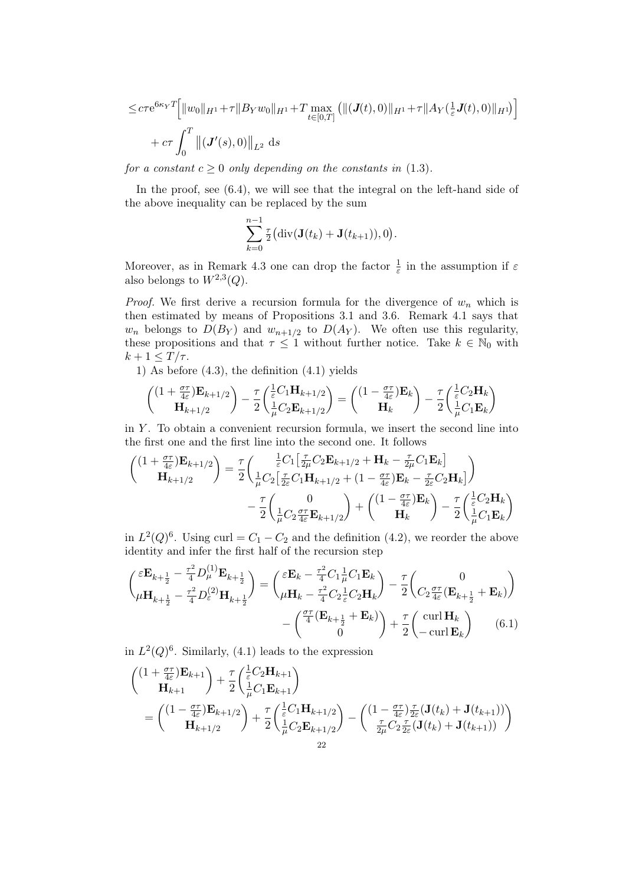$$
\leq c\tau e^{6\kappa_Y T} \Big[ \|w_0\|_{H^1} + \tau \|B_Y w_0\|_{H^1} + T \max_{t \in [0,T]} \left( \|(J(t),0)\|_{H^1} + \tau \|A_Y(\frac{1}{\varepsilon}J(t),0)\|_{H^1} \right) \Big] + c\tau \int_0^T \left\| (J'(s),0)\right\|_{L^2} ds
$$

for a constant  $c \geq 0$  only depending on the constants in (1.3).

In the proof, see  $(6.4)$ , we will see that the integral on the left-hand side of the above inequality can be replaced by the sum

$$
\sum_{k=0}^{n-1} \frac{\tau}{2} \big( \mathrm{div}(\mathbf{J}(t_k) + \mathbf{J}(t_{k+1})), 0 \big).
$$

Moreover, as in Remark 4.3 one can drop the factor  $\frac{1}{\varepsilon}$  in the assumption if  $\varepsilon$ also belongs to  $W^{2,3}(Q)$ .

*Proof.* We first derive a recursion formula for the divergence of  $w_n$  which is then estimated by means of Propositions 3.1 and 3.6. Remark 4.1 says that  $w_n$  belongs to  $D(B_Y)$  and  $w_{n+1/2}$  to  $D(A_Y)$ . We often use this regularity, these propositions and that  $\tau \leq 1$  without further notice. Take  $k \in \mathbb{N}_0$  with  $k+1 \leq T/\tau$ .

1) As before (4.3), the definition (4.1) yields

$$
\begin{pmatrix}\n(1 + \frac{\sigma \tau}{4\varepsilon}) \mathbf{E}_{k+1/2} \\
\mathbf{H}_{k+1/2}\n\end{pmatrix} - \frac{\tau}{2} \begin{pmatrix}\n\frac{1}{\varepsilon} C_1 \mathbf{H}_{k+1/2} \\
\frac{1}{\mu} C_2 \mathbf{E}_{k+1/2}\n\end{pmatrix} = \begin{pmatrix}\n(1 - \frac{\sigma \tau}{4\varepsilon}) \mathbf{E}_k \\
\mathbf{H}_k\n\end{pmatrix} - \frac{\tau}{2} \begin{pmatrix}\n\frac{1}{\varepsilon} C_2 \mathbf{H}_k \\
\frac{1}{\mu} C_1 \mathbf{E}_k\n\end{pmatrix}
$$

in  $Y$ . To obtain a convenient recursion formula, we insert the second line into the first one and the first line into the second one. It follows

$$
\begin{aligned}\n\begin{pmatrix}\n(1 + \frac{\sigma \tau}{4\varepsilon}) \mathbf{E}_{k+1/2} \\
\mathbf{H}_{k+1/2}\n\end{pmatrix} &= \frac{\tau}{2} \begin{pmatrix}\n\frac{1}{\varepsilon} C_1 \left[ \frac{\tau}{2\mu} C_2 \mathbf{E}_{k+1/2} + \mathbf{H}_k - \frac{\tau}{2\mu} C_1 \mathbf{E}_k \right] \\
\frac{1}{\mu} C_2 \left[ \frac{\tau}{2\varepsilon} C_1 \mathbf{H}_{k+1/2} + (1 - \frac{\sigma \tau}{4\varepsilon}) \mathbf{E}_k - \frac{\tau}{2\varepsilon} C_2 \mathbf{H}_k \right]\n\end{pmatrix} \\
&- \frac{\tau}{2} \begin{pmatrix}\n0 \\
\frac{1}{\mu} C_2 \frac{\sigma \tau}{4\varepsilon} \mathbf{E}_{k+1/2}\n\end{pmatrix} + \begin{pmatrix}\n(1 - \frac{\sigma \tau}{4\varepsilon}) \mathbf{E}_k \\
\mathbf{H}_k\n\end{pmatrix} - \frac{\tau}{2} \begin{pmatrix}\n\frac{1}{\varepsilon} C_2 \mathbf{H}_k \\
\frac{1}{\mu} C_1 \mathbf{E}_k\n\end{pmatrix}\n\end{aligned}
$$

in  $L^2(Q)^6$ . Using curl =  $C_1 - C_2$  and the definition (4.2), we reorder the above identity and infer the first half of the recursion step

$$
\begin{pmatrix}\n\varepsilon \mathbf{E}_{k+\frac{1}{2}} - \frac{\tau^2}{4} D_{\mu}^{(1)} \mathbf{E}_{k+\frac{1}{2}} \\
\mu \mathbf{H}_{k+\frac{1}{2}} - \frac{\tau^2}{4} D_{\varepsilon}^{(2)} \mathbf{H}_{k+\frac{1}{2}}\n\end{pmatrix} = \begin{pmatrix}\n\varepsilon \mathbf{E}_{k} - \frac{\tau^2}{4} C_{1} \frac{1}{\mu} C_{1} \mathbf{E}_{k} \\
\mu \mathbf{H}_{k} - \frac{\tau^2}{4} C_{2} \frac{1}{\varepsilon} C_{2} \mathbf{H}_{k}\n\end{pmatrix} - \frac{\tau}{2} \begin{pmatrix}\n0 \\
C_{2} \frac{\sigma \tau}{4} (\mathbf{E}_{k+\frac{1}{2}} + \mathbf{E}_{k})\n\end{pmatrix} \\
-\begin{pmatrix}\n\frac{\sigma \tau}{4} (\mathbf{E}_{k+\frac{1}{2}} + \mathbf{E}_{k}) \\
0\n\end{pmatrix} + \frac{\tau}{2} \begin{pmatrix}\n\operatorname{curl} \mathbf{H}_{k} \\
-\operatorname{curl} \mathbf{E}_{k}\n\end{pmatrix} \tag{6.1}
$$

in  $L^2(Q)^6$ . Similarly, (4.1) leads to the expression

$$
\begin{aligned}\n\begin{pmatrix}\n(1 + \frac{\sigma \tau}{4\varepsilon}) \mathbf{E}_{k+1} \\
\mathbf{H}_{k+1}\n\end{pmatrix} &+ \frac{\tau}{2} \begin{pmatrix}\n\frac{1}{\varepsilon} C_2 \mathbf{H}_{k+1} \\
\frac{1}{\mu} C_1 \mathbf{E}_{k+1}\n\end{pmatrix} \\
&= \begin{pmatrix}\n(1 - \frac{\sigma \tau}{4\varepsilon}) \mathbf{E}_{k+1/2} \\
\mathbf{H}_{k+1/2}\n\end{pmatrix} + \frac{\tau}{2} \begin{pmatrix}\n\frac{1}{\varepsilon} C_1 \mathbf{H}_{k+1/2} \\
\frac{1}{\mu} C_2 \mathbf{E}_{k+1/2}\n\end{pmatrix} - \begin{pmatrix}\n(1 - \frac{\sigma \tau}{4\varepsilon}) \frac{\tau}{2\varepsilon} (\mathbf{J}(t_k) + \mathbf{J}(t_{k+1})) \\
\frac{\tau}{2\mu} C_2 \frac{\tau}{2\varepsilon} (\mathbf{J}(t_k) + \mathbf{J}(t_{k+1}))\n\end{pmatrix}\n\end{aligned}
$$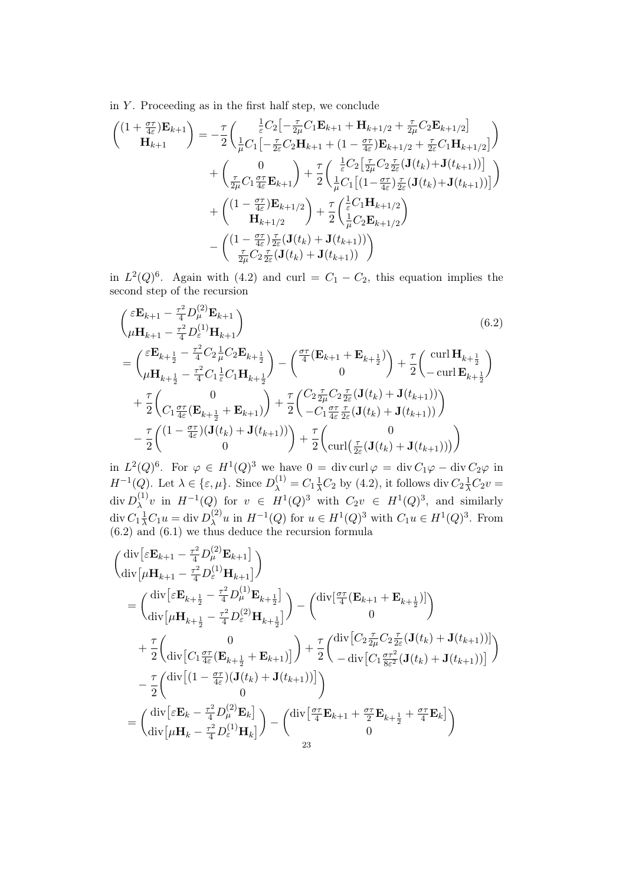in  $Y$ . Proceeding as in the first half step, we conclude

$$
\begin{split}\n\binom{(1+\frac{\sigma\tau}{4\varepsilon})\mathbf{E}_{k+1}}{\mathbf{H}_{k+1}} &= -\frac{\tau}{2} \bigg( \frac{\frac{1}{\varepsilon} C_2 \big[ -\frac{\tau}{2\mu} C_1 \mathbf{E}_{k+1} + \mathbf{H}_{k+1/2} + \frac{\tau}{2\mu} C_2 \mathbf{E}_{k+1/2} \big]}{\frac{1}{\varepsilon} C_1 \big[ -\frac{\tau}{2\varepsilon} C_2 \mathbf{H}_{k+1} + (1 - \frac{\sigma\tau}{4\varepsilon}) \mathbf{E}_{k+1/2} + \frac{\tau}{2\varepsilon} C_1 \mathbf{H}_{k+1/2} \big]} \bigg) \\
&+ \bigg( \frac{0}{\frac{\tau}{2\mu} C_1 \frac{\sigma\tau}{4\varepsilon} \mathbf{E}_{k+1}} \bigg) + \frac{\tau}{2} \bigg( \frac{\frac{1}{\varepsilon} C_2 \big[ \frac{\tau}{2\mu} C_2 \frac{\tau}{2\varepsilon} (\mathbf{J}(t_k) + \mathbf{J}(t_{k+1})) \big]}{\frac{1}{\mu} C_1 \big[ (1 - \frac{\sigma\tau}{4\varepsilon}) \frac{\tau}{2\varepsilon} (\mathbf{J}(t_k) + \mathbf{J}(t_{k+1})) \big]} \bigg) \\
&+ \bigg( \frac{(1 - \frac{\sigma\tau}{4\varepsilon})\mathbf{E}_{k+1/2}}{\mathbf{H}_{k+1/2}} \bigg) + \frac{\tau}{2} \bigg( \frac{\frac{1}{\varepsilon} C_1 \mathbf{H}_{k+1/2}}{\frac{1}{\mu} C_2 \mathbf{E}_{k+1/2}} \bigg) \\
&- \bigg( \frac{(1 - \frac{\sigma\tau}{4\varepsilon}) \frac{\tau}{2\varepsilon} (\mathbf{J}(t_k) + \mathbf{J}(t_{k+1}))}{\frac{\tau}{2\mu} C_2 \frac{\tau}{2\varepsilon} (\mathbf{J}(t_k) + \mathbf{J}(t_{k+1}))} \bigg) \n\end{split}
$$

in  $L^2(Q)^6$ . Again with (4.2) and curl =  $C_1 - C_2$ , this equation implies the second step of the recursion

$$
\begin{split}\n&\left(\varepsilon^{\mathbf{E}_{k+1} - \frac{\tau^2}{4} D_{\mu}^{(2)} \mathbf{E}_{k+1}}\right) \\
&= \begin{pmatrix}\n\varepsilon^{\mathbf{E}_{k+1} - \frac{\tau^2}{4} D_{\varepsilon}^{(1)} \mathbf{H}_{k+1}}\n\end{pmatrix} \\
&= \begin{pmatrix}\n\varepsilon^{\mathbf{E}_{k+\frac{1}{2}} - \frac{\tau^2}{4} C_2 \frac{1}{\mu} C_2 \mathbf{E}_{k+\frac{1}{2}}}\n\end{pmatrix} - \begin{pmatrix}\n\frac{\sigma \tau}{4} (\mathbf{E}_{k+1} + \mathbf{E}_{k+\frac{1}{2}}) \\
0\n\end{pmatrix} + \frac{\tau}{2} \begin{pmatrix}\n\text{curl } \mathbf{H}_{k+\frac{1}{2}}\n\end{pmatrix} \\
&+ \frac{\tau}{2} \begin{pmatrix}\n0 \\
C_1 \frac{\sigma \tau}{4\varepsilon} (\mathbf{E}_{k+\frac{1}{2}} + \mathbf{E}_{k+1})\n\end{pmatrix} + \frac{\tau}{2} \begin{pmatrix}\nC_2 \frac{\tau}{2\mu} C_2 \frac{\tau}{2\varepsilon} (\mathbf{J}(t_k) + \mathbf{J}(t_{k+1}))\n\end{pmatrix} \\
&- \frac{\tau}{2} \begin{pmatrix}\n(1 - \frac{\sigma \tau}{4\varepsilon})(\mathbf{J}(t_k) + \mathbf{J}(t_{k+1}))\n\end{pmatrix} + \frac{\tau}{2} \begin{pmatrix}\nC_2 \frac{\tau}{2\mu} C_2 \frac{\tau}{2\varepsilon} (\mathbf{J}(t_k) + \mathbf{J}(t_{k+1}))\n\end{pmatrix} \\
&- \frac{\tau}{2} \begin{pmatrix}\n(1 - \frac{\sigma \tau}{4\varepsilon})(\mathbf{J}(t_k) + \mathbf{J}(t_{k+1}))\n\end{pmatrix} + \frac{\tau}{2} \begin{pmatrix}\n0 \\
\text{curl}(\frac{\tau}{2\varepsilon} (\mathbf{J}(t_k) + \mathbf{J}(t_{k+1}))\n\end{pmatrix}\n\end{split}
$$

in  $L^2(Q)^6$ . For  $\varphi \in H^1(Q)^3$  we have  $0 = \text{div curl }\varphi = \text{div } C_1\varphi - \text{div } C_2\varphi$  in  $H^{-1}(Q)$ . Let  $\lambda \in \{\varepsilon, \mu\}$ . Since  $D_{\lambda}^{(1)} = C_1 \frac{1}{\lambda} C_2$  by (4.2), it follows div  $C_2 \frac{1}{\lambda} C_2 v =$  $\mathrm{div}\, D_\lambda^{(1)}$  $\lambda^{(1)}v$  in  $H^{-1}(Q)$  for  $v \in H^1(Q)^3$  with  $C_2v \in H^1(Q)^3$ , and similarly  $\operatorname{div} C_1 \frac{1}{\lambda} C_1 u = \operatorname{div} D_{\lambda}^{(2)}$  $\chi^{(2)} u$  in  $H^{-1}(Q)$  for  $u \in H^1(Q)^3$  with  $C_1 u \in H^1(Q)^3$ . From (6.2) and (6.1) we thus deduce the recursion formula

$$
\begin{split}\n&\begin{pmatrix}\n\operatorname{div}\left[\varepsilon\mathbf{E}_{k+1}-\frac{\tau^2}{4}D_{\mu}^{(2)}\mathbf{E}_{k+1}\right] \\
\operatorname{div}\left[\mu\mathbf{H}_{k+1}-\frac{\tau^2}{4}D_{\varepsilon}^{(1)}\mathbf{H}_{k+1}\right]\n\end{pmatrix} \\
&=\begin{pmatrix}\n\operatorname{div}\left[\varepsilon\mathbf{E}_{k+\frac{1}{2}}-\frac{\tau^2}{4}D_{\mu}^{(1)}\mathbf{E}_{k+\frac{1}{2}}\right] \\
\operatorname{div}\left[\mu\mathbf{H}_{k+\frac{1}{2}}-\frac{\tau^2}{4}D_{\varepsilon}^{(2)}\mathbf{H}_{k+\frac{1}{2}}\right]\n\end{pmatrix} - \begin{pmatrix}\n\operatorname{div}\left[\frac{\sigma\tau}{4}(\mathbf{E}_{k+1}+\mathbf{E}_{k+\frac{1}{2}})\right] \\
0\n\end{pmatrix} \\
&+\frac{\tau}{2}\begin{pmatrix}\n0 \\
\operatorname{div}\left[C_{1}\frac{\sigma\tau}{4\varepsilon}(\mathbf{E}_{k+\frac{1}{2}}+\mathbf{E}_{k+1})\right]\n\end{pmatrix} + \frac{\tau}{2}\begin{pmatrix}\n\operatorname{div}\left[C_{2}\frac{\tau}{2\mu}C_{2}\frac{\tau}{2\varepsilon}(\mathbf{J}(t_{k})+\mathbf{J}(t_{k+1}))\right] \\
-\operatorname{div}\left[C_{1}\frac{\sigma\tau^2}{8\varepsilon^2}(\mathbf{J}(t_{k})+\mathbf{J}(t_{k+1}))\right]\n\end{pmatrix} \\
&-\frac{\tau}{2}\begin{pmatrix}\n\operatorname{div}\left[(1-\frac{\sigma\tau}{4\varepsilon})(\mathbf{J}(t_{k})+\mathbf{J}(t_{k+1}))\right] \\
0\n\end{pmatrix} \\
&=\begin{pmatrix}\n\operatorname{div}\left[\varepsilon\mathbf{E}_{k}-\frac{\tau^2}{4}D_{\mu}^{(2)}\mathbf{E}_{k}\right] \\
\operatorname{div}\left[\mu\mathbf{H}_{k}-\frac{\tau^2}{4}D_{\varepsilon}^{(1)}\mathbf{H}_{k}\right]\n\end{pmatrix} - \begin{pmatrix}\n\operatorname{div}\left[\frac{\sigma\tau}{4}\mathbf{E}_{k+1}+\frac{\sigma\tau}{2}\mathbf{E}_{k+\frac{1}{2}}
$$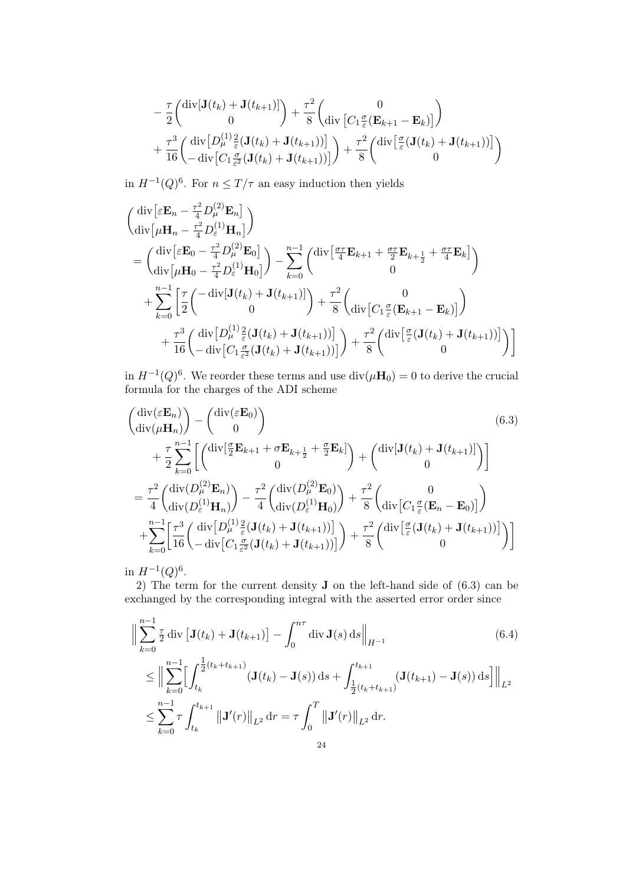$$
-\frac{\tau}{2} \begin{pmatrix} \text{div}[\mathbf{J}(t_k) + \mathbf{J}(t_{k+1})] \\ 0 \end{pmatrix} + \frac{\tau^2}{8} \begin{pmatrix} 0 \\ \text{div} [C_1 \frac{\sigma}{\varepsilon} (\mathbf{E}_{k+1} - \mathbf{E}_k)] \end{pmatrix}
$$

$$
+\frac{\tau^3}{16} \begin{pmatrix} \text{div} [D_\mu^{(1)} \frac{2}{\varepsilon} (\mathbf{J}(t_k) + \mathbf{J}(t_{k+1}))] \\ - \text{div} [C_1 \frac{\sigma}{\varepsilon^2} (\mathbf{J}(t_k) + \mathbf{J}(t_{k+1}))] \end{pmatrix} + \frac{\tau^2}{8} \begin{pmatrix} \text{div} [\frac{\sigma}{\varepsilon} (\mathbf{J}(t_k) + \mathbf{J}(t_{k+1}))] \\ 0 \end{pmatrix}
$$

in  $H^{-1}(Q)^6$ . For  $n \leq T/\tau$  an easy induction then yields

$$
\begin{split}\n&\left(\begin{aligned}\n\operatorname{div}\left[\varepsilon\mathbf{E}_{n}-\frac{\tau^{2}}{4}D_{\mu}^{(2)}\mathbf{E}_{n}\right] \\
\operatorname{div}\left[\mu\mathbf{H}_{n}-\frac{\tau^{2}}{4}D_{\varepsilon}^{(1)}\mathbf{H}_{n}\right]\n\end{aligned}\right) \\
&=\left(\begin{aligned}\n\operatorname{div}\left[\varepsilon\mathbf{E}_{0}-\frac{\tau^{2}}{4}D_{\mu}^{(2)}\mathbf{E}_{0}\right] \\
\operatorname{div}\left[\mu\mathbf{H}_{0}-\frac{\tau^{2}}{4}D_{\varepsilon}^{(1)}\mathbf{H}_{0}\right]\n\end{aligned}\right) - \sum_{k=0}^{n-1}\left(\begin{aligned}\n\operatorname{div}\left[\frac{\sigma\tau}{4}\mathbf{E}_{k+1}+\frac{\sigma\tau}{2}\mathbf{E}_{k+\frac{1}{2}}+\frac{\sigma\tau}{4}\mathbf{E}_{k}\right] \\
0\n\end{aligned}\right) \\
&+\sum_{k=0}^{n-1}\left[\frac{\tau}{2}\left(\begin{aligned}\n-\operatorname{div}\left[\mathbf{J}(t_{k})+\mathbf{J}(t_{k+1})\right] \\
0\n\end{aligned}\right) + \frac{\tau^{2}}{8}\left(\operatorname{div}\left[C_{1}\frac{\sigma}{\varepsilon}(\mathbf{E}_{k+1}-\mathbf{E}_{k})\right]\right) \\
&+\frac{\tau^{3}}{16}\left(\operatorname{div}\left[D_{\mu}^{(1)}\frac{2}{\varepsilon}(\mathbf{J}(t_{k})+\mathbf{J}(t_{k+1}))\right]\right) + \frac{\tau^{2}}{8}\left(\operatorname{div}\left[\frac{\sigma}{\varepsilon}(\mathbf{J}(t_{k})+\mathbf{J}(t_{k+1}))\right]\right)\n\end{aligned}\right]
$$

in  $H^{-1}(Q)^6$ . We reorder these terms and use  $\text{div}(\mu \mathbf{H}_0) = 0$  to derive the crucial formula for the charges of the ADI scheme

$$
\begin{split}\n\begin{pmatrix}\n\operatorname{div}(\varepsilon \mathbf{E}_{n}) \\
\operatorname{div}(\mu \mathbf{H}_{n})\n\end{pmatrix} & -\begin{pmatrix}\n\operatorname{div}(\varepsilon \mathbf{E}_{0}) \\
0\n\end{pmatrix} & (6.3) \\
&+ \frac{\tau}{2} \sum_{k=0}^{n-1} \left[ \begin{pmatrix}\n\operatorname{div}[\frac{\sigma}{2} \mathbf{E}_{k+1} + \sigma \mathbf{E}_{k+\frac{1}{2}} + \frac{\sigma}{2} \mathbf{E}_{k}]\n\end{pmatrix} + \begin{pmatrix}\n\operatorname{div}[\mathbf{J}(t_{k}) + \mathbf{J}(t_{k+1})]\n\end{pmatrix} \right] \\
&= \frac{\tau^{2}}{4} \begin{pmatrix}\n\operatorname{div}(D_{\mu}^{(2)} \mathbf{E}_{n})\n\end{pmatrix} - \frac{\tau^{2}}{4} \begin{pmatrix}\n\operatorname{div}(D_{\mu}^{(2)} \mathbf{E}_{0})\n\end{pmatrix} + \frac{\tau^{2}}{8} \begin{pmatrix}\n0 \\
\operatorname{div}(C_{1} \frac{\sigma}{\varepsilon} (\mathbf{E}_{n} - \mathbf{E}_{0})]\n\end{pmatrix} \\
&+ \sum_{k=0}^{n-1} \left[ \frac{\tau^{3}}{16} \begin{pmatrix}\n\operatorname{div}[D_{\mu}^{(1)} \frac{2}{\varepsilon} (\mathbf{J}(t_{k}) + \mathbf{J}(t_{k+1}))]\n\end{pmatrix} + \frac{\tau^{2}}{8} \begin{pmatrix}\n\operatorname{div}[\frac{\sigma}{\varepsilon} (\mathbf{J}(t_{k}) + \mathbf{J}(t_{k+1}))]\n\end{pmatrix}\n\end{split}
$$

in  $H^{-1}(Q)^6$ .

2) The term for the current density J on the left-hand side of (6.3) can be exchanged by the corresponding integral with the asserted error order since

$$
\left\| \sum_{k=0}^{n-1} \frac{\tau}{2} \operatorname{div} \left[ \mathbf{J}(t_k) + \mathbf{J}(t_{k+1}) \right] - \int_0^{n\tau} \operatorname{div} \mathbf{J}(s) \, ds \right\|_{H^{-1}} \tag{6.4}
$$
\n
$$
\leq \left\| \sum_{k=0}^{n-1} \left[ \int_{t_k}^{\frac{1}{2}(t_k + t_{k+1})} (\mathbf{J}(t_k) - \mathbf{J}(s)) \, ds + \int_{\frac{1}{2}(t_k + t_{k+1})}^{t_{k+1}} (\mathbf{J}(t_{k+1}) - \mathbf{J}(s)) \, ds \right] \right\|_{L^2}
$$
\n
$$
\leq \sum_{k=0}^{n-1} \tau \int_{t_k}^{t_{k+1}} \left\| \mathbf{J}'(r) \right\|_{L^2} dr = \tau \int_0^T \left\| \mathbf{J}'(r) \right\|_{L^2} dr.
$$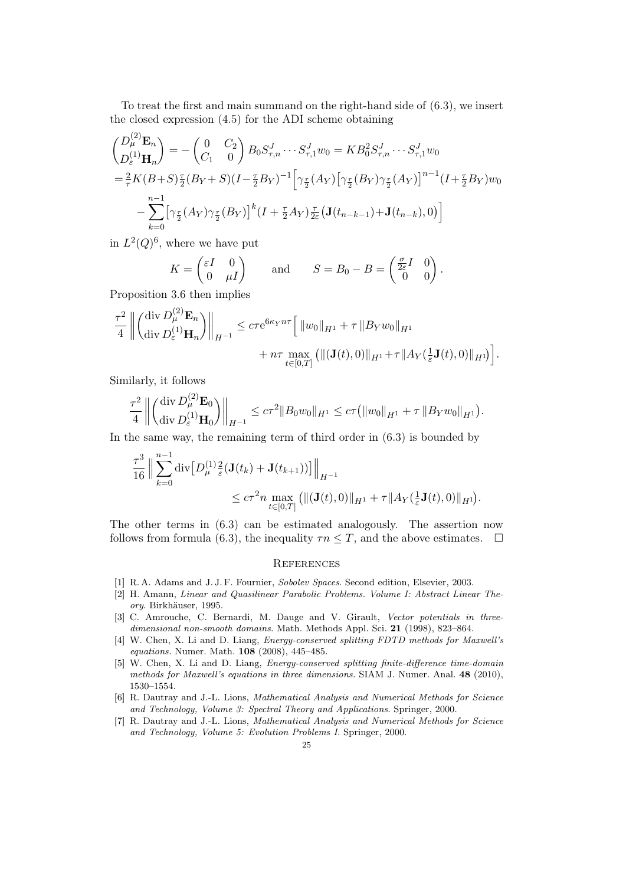To treat the first and main summand on the right-hand side of (6.3), we insert the closed expression (4.5) for the ADI scheme obtaining

$$
\begin{aligned}\n\left(\begin{matrix}D_{\mu}^{(2)}\mathbf{E}_{n}\\ D_{\varepsilon}^{(1)}\mathbf{H}_{n}\end{matrix}\right) &= -\left(\begin{matrix}0 & C_{2}\\ C_{1} & 0\end{matrix}\right)B_{0}S_{\tau,n}^{J}\cdots S_{\tau,1}^{J}w_{0} = KB_{0}^{2}S_{\tau,n}^{J}\cdots S_{\tau,1}^{J}w_{0} \\
&= \frac{2}{\tau}K(B+S)\frac{\tau}{2}(B_{Y}+S)(I-\frac{\tau}{2}B_{Y})^{-1}\Big[\gamma_{\frac{\tau}{2}}(A_{Y})\big[\gamma_{\frac{\tau}{2}}(B_{Y})\gamma_{\frac{\tau}{2}}(A_{Y})\big]^{n-1}(I+\frac{\tau}{2}B_{Y})w_{0} \\
&\quad -\sum_{k=0}^{n-1}\big[\gamma_{\frac{\tau}{2}}(A_{Y})\gamma_{\frac{\tau}{2}}(B_{Y})\big]^{k}(I+\frac{\tau}{2}A_{Y})\frac{\tau}{2\varepsilon}\big(\mathbf{J}(t_{n-k-1})+\mathbf{J}(t_{n-k}),0\big)\Big]\n\end{aligned}
$$

in  $L^2(Q)^6$ , where we have put

$$
K = \begin{pmatrix} \varepsilon I & 0 \\ 0 & \mu I \end{pmatrix} \quad \text{and} \quad S = B_0 - B = \begin{pmatrix} \frac{\sigma}{2\varepsilon}I & 0 \\ 0 & 0 \end{pmatrix}
$$

.

Proposition 3.6 then implies  $(2)$ 

$$
\frac{\tau^2}{4} \left\| \begin{pmatrix} \text{div } D_{\mu}^{(2)} \mathbf{E}_n \\ \text{div } D_{\varepsilon}^{(1)} \mathbf{H}_n \end{pmatrix} \right\|_{H^{-1}} \leq c \tau e^{6\kappa_Y n\tau} \Big[ \left\| w_0 \right\|_{H^1} + \tau \left\| B_Y w_0 \right\|_{H^1} + \tau \left\| A_Y \left( \frac{1}{\varepsilon} \mathbf{J}(t), 0 \right) \right\|_{H^1} \Big] + n\tau \max_{t \in [0, T]} \left( \| (\mathbf{J}(t), 0) \|_{H^1} + \tau \left\| A_Y \left( \frac{1}{\varepsilon} \mathbf{J}(t), 0 \right) \right\|_{H^1} \right) \Big].
$$

Similarly, it follows

$$
\frac{\tau^2}{4} \left\| \begin{pmatrix} \text{div } D_{\mu}^{(2)} \mathbf{E}_0 \\ \text{div } D_{\varepsilon}^{(1)} \mathbf{H}_0 \end{pmatrix} \right\|_{H^{-1}} \leq c\tau^2 \|B_0 w_0\|_{H^1} \leq c\tau \big( \|w_0\|_{H^1} + \tau \|B_Y w_0\|_{H^1} \big).
$$

In the same way, the remaining term of third order in  $(6.3)$  is bounded by

$$
\frac{\tau^3}{16} \Big\| \sum_{k=0}^{n-1} \mathrm{div} \big[ D_{\mu}^{(1)} \frac{2}{\varepsilon} (\mathbf{J}(t_k) + \mathbf{J}(t_{k+1})) \big] \Big\|_{H^{-1}} \leq c\tau^2 n \max_{t \in [0,T]} \big( \| (\mathbf{J}(t), 0) \|_{H^1} + \tau \| A_Y(\frac{1}{\varepsilon} \mathbf{J}(t), 0) \|_{H^1} \big).
$$

The other terms in (6.3) can be estimated analogously. The assertion now follows from formula (6.3), the inequality  $\tau n \leq T$ , and the above estimates.  $\Box$ 

### **REFERENCES**

- [1] R. A. Adams and J. J. F. Fournier, Sobolev Spaces. Second edition, Elsevier, 2003.
- [2] H. Amann, Linear and Quasilinear Parabolic Problems. Volume I: Abstract Linear Theory. Birkhäuser, 1995.
- [3] C. Amrouche, C. Bernardi, M. Dauge and V. Girault, Vector potentials in threedimensional non-smooth domains. Math. Methods Appl. Sci. 21 (1998), 823–864.
- [4] W. Chen, X. Li and D. Liang, Energy-conserved splitting FDTD methods for Maxwell's equations. Numer. Math. 108 (2008), 445–485.
- [5] W. Chen, X. Li and D. Liang, Energy-conserved splitting finite-difference time-domain methods for Maxwell's equations in three dimensions. SIAM J. Numer. Anal. 48 (2010), 1530–1554.
- [6] R. Dautray and J.-L. Lions, Mathematical Analysis and Numerical Methods for Science and Technology, Volume 3: Spectral Theory and Applications. Springer, 2000.
- [7] R. Dautray and J.-L. Lions, Mathematical Analysis and Numerical Methods for Science and Technology, Volume 5: Evolution Problems I. Springer, 2000.